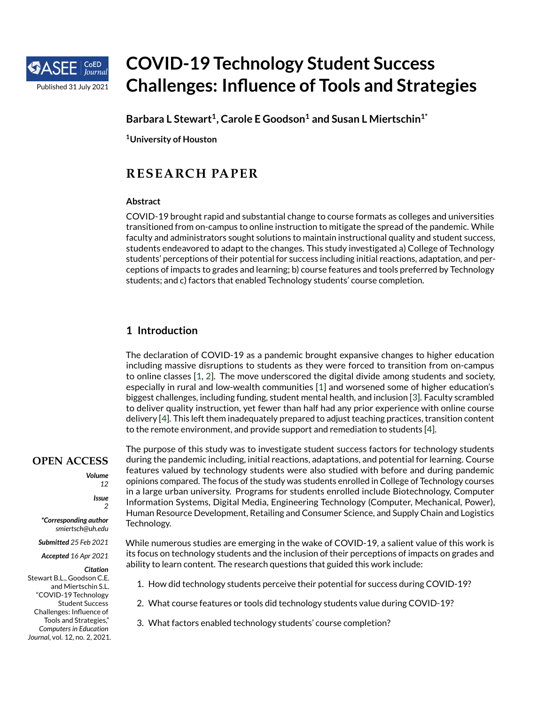

# **COVID-19 Technology Student Success Challenges: Influence of Tools and Strategies**

**Barbara L Stewart<sup>1</sup> , Carole E Goodson<sup>1</sup> and Susan L Miertschin1\***

**<sup>1</sup>University of Houston**

# **RESEARCH PAPER**

## **Abstract**

COVID-19 brought rapid and substantial change to course formats as colleges and universities transitioned from on-campus to online instruction to mitigate the spread of the pandemic. While faculty and administrators sought solutions to maintain instructional quality and student success, students endeavored to adapt to the changes. This study investigated a) College of Technology students' perceptions of their potential for success including initial reactions, adaptation, and perceptions of impacts to grades and learning; b) course features and tools preferred by Technology students; and c) factors that enabled Technology students' course completion.

# **1 Introduction**

The declaration of COVID-19 as a pandemic brought expansive changes to higher education including massive disruptions to students as they were forced to transition from on-campus to online classes [\[1,](#page-22-0) [2\]](#page-22-1). The move underscored the digital divide among students and society, especially in rural and low-wealth communities [\[1\]](#page-22-0) and worsened some of higher education's biggest challenges, including funding, student mental health, and inclusion [\[3\]](#page-22-2). Faculty scrambled to deliver quality instruction, yet fewer than half had any prior experience with online course delivery [\[4\]](#page-22-3). This left them inadequately prepared to adjust teaching practices, transition content to the remote environment, and provide support and remediation to students [\[4\]](#page-22-3).

# **OPEN ACCESS**

*Volume 12*

> *Issue 2*

*\*Corresponding author smiertsch@uh.edu*

*Submitted 25 Feb 2021*

*Accepted 16 Apr 2021*

*Citation*

Stewart B.L., Goodson C.E. and Miertschin S.L. "COVID-19 Technology Student Success Challenges: Influence of Tools and Strategies," *Computers in Education Journal*, vol. 12, no. 2, 2021.

The purpose of this study was to investigate student success factors for technology students during the pandemic including, initial reactions, adaptations, and potential for learning. Course features valued by technology students were also studied with before and during pandemic opinions compared. The focus of the study was students enrolled in College of Technology courses in a large urban university. Programs for students enrolled include Biotechnology, Computer Information Systems, Digital Media, Engineering Technology (Computer, Mechanical, Power), Human Resource Development, Retailing and Consumer Science, and Supply Chain and Logistics Technology.

While numerous studies are emerging in the wake of COVID-19, a salient value of this work is its focus on technology students and the inclusion of their perceptions of impacts on grades and ability to learn content. The research questions that guided this work include:

- 1. How did technology students perceive their potential for success during COVID-19?
- 2. What course features or tools did technology students value during COVID-19?
- 3. What factors enabled technology students' course completion?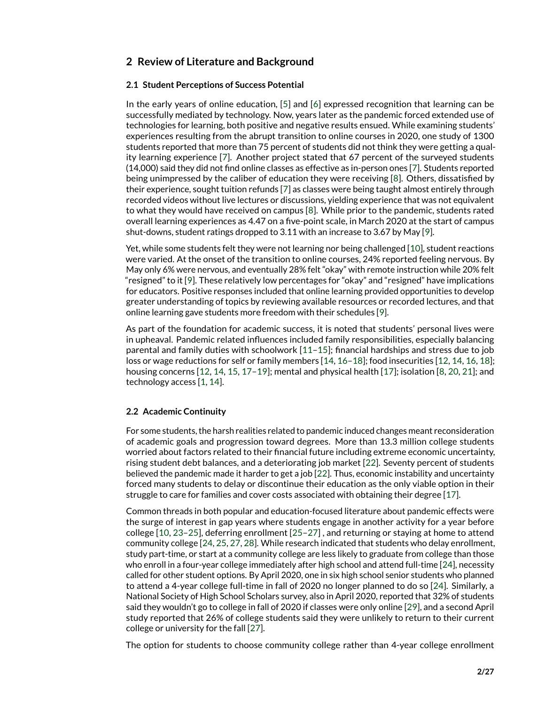# **2 Review of Literature and Background**

#### **2.1 Student Perceptions of Success Potential**

In the early years of online education, [\[5\]](#page-22-4) and [\[6\]](#page-22-5) expressed recognition that learning can be successfully mediated by technology. Now, years later as the pandemic forced extended use of technologies for learning, both positive and negative results ensued. While examining students' experiences resulting from the abrupt transition to online courses in 2020, one study of 1300 students reported that more than 75 percent of students did not think they were getting a quality learning experience [\[7\]](#page-22-6). Another project stated that 67 percent of the surveyed students (14,000) said they did not find online classes as effective as in-person ones [\[7\]](#page-22-6). Students reported being unimpressed by the caliber of education they were receiving [\[8\]](#page-22-7). Others, dissatisfied by their experience, sought tuition refunds [\[7\]](#page-22-6) as classes were being taught almost entirely through recorded videos without live lectures or discussions, yielding experience that was not equivalent to what they would have received on campus [\[8\]](#page-22-7). While prior to the pandemic, students rated overall learning experiences as 4.47 on a five-point scale, in March 2020 at the start of campus shut-downs, student ratings dropped to 3.11 with an increase to 3.67 by May [\[9\]](#page-22-8).

Yet, while some students felt they were not learning nor being challenged [\[10\]](#page-22-9), student reactions were varied. At the onset of the transition to online courses, 24% reported feeling nervous. By May only 6% were nervous, and eventually 28% felt "okay" with remote instruction while 20% felt "resigned" to it [\[9\]](#page-22-8). These relatively low percentages for "okay" and "resigned" have implications for educators. Positive responses included that online learning provided opportunities to develop greater understanding of topics by reviewing available resources or recorded lectures, and that online learning gave students more freedom with their schedules [\[9\]](#page-22-8).

As part of the foundation for academic success, it is noted that students' personal lives were in upheaval. Pandemic related influences included family responsibilities, especially balancing parental and family duties with schoolwork [\[11](#page-22-10)[–15\]](#page-22-11); financial hardships and stress due to job loss or wage reductions for self or family members [\[14,](#page-22-12) [16–](#page-22-13)[18\]](#page-23-0); food insecurities [\[12,](#page-22-14) [14,](#page-22-12) [16,](#page-22-13) [18\]](#page-23-0); housing concerns [\[12,](#page-22-14) [14,](#page-22-12) [15,](#page-22-11) [17–](#page-23-1)[19\]](#page-23-2); mental and physical health [\[17\]](#page-23-1); isolation [\[8,](#page-22-7) [20,](#page-23-3) [21\]](#page-23-4); and technology access [\[1,](#page-22-0) [14\]](#page-22-12).

## **2.2 Academic Continuity**

For some students, the harsh realities related to pandemic induced changes meant reconsideration of academic goals and progression toward degrees. More than 13.3 million college students worried about factors related to their financial future including extreme economic uncertainty, rising student debt balances, and a deteriorating job market [\[22\]](#page-23-5). Seventy percent of students believed the pandemic made it harder to get a job [\[22\]](#page-23-5). Thus, economic instability and uncertainty forced many students to delay or discontinue their education as the only viable option in their struggle to care for families and cover costs associated with obtaining their degree [\[17\]](#page-23-1).

Common threads in both popular and education-focused literature about pandemic effects were the surge of interest in gap years where students engage in another activity for a year before college [\[10,](#page-22-9) [23–](#page-23-6)[25\]](#page-23-7), deferring enrollment [\[25–](#page-23-7)[27\]](#page-23-8) , and returning or staying at home to attend community college [\[24,](#page-23-9) [25,](#page-23-7) [27,](#page-23-8) [28\]](#page-23-10). While research indicated that students who delay enrollment, study part-time, or start at a community college are less likely to graduate from college than those who enroll in a four-year college immediately after high school and attend full-time [\[24\]](#page-23-9), necessity called for other student options. By April 2020, one in six high school senior students who planned to attend a 4-year college full-time in fall of 2020 no longer planned to do so [\[24\]](#page-23-9). Similarly, a National Society of High School Scholars survey, also in April 2020, reported that 32% of students said they wouldn't go to college in fall of 2020 if classes were only online [\[29\]](#page-23-11), and a second April study reported that 26% of college students said they were unlikely to return to their current college or university for the fall [\[27\]](#page-23-8).

The option for students to choose community college rather than 4-year college enrollment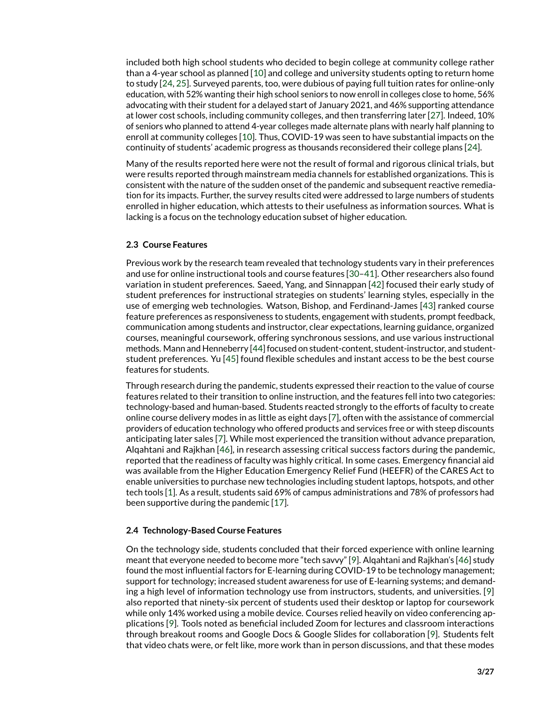included both high school students who decided to begin college at community college rather than a 4-year school as planned [\[10\]](#page-22-9) and college and university students opting to return home to study [\[24,](#page-23-9) [25\]](#page-23-7). Surveyed parents, too, were dubious of paying full tuition rates for online-only education, with 52% wanting their high school seniors to now enroll in colleges close to home, 56% advocating with their student for a delayed start of January 2021, and 46% supporting attendance at lower cost schools, including community colleges, and then transferring later [\[27\]](#page-23-8). Indeed, 10% of seniors who planned to attend 4-year colleges made alternate plans with nearly half planning to enroll at community colleges [\[10\]](#page-22-9). Thus, COVID-19 was seen to have substantial impacts on the continuity of students' academic progress as thousands reconsidered their college plans [\[24\]](#page-23-9).

Many of the results reported here were not the result of formal and rigorous clinical trials, but were results reported through mainstream media channels for established organizations. This is consistent with the nature of the sudden onset of the pandemic and subsequent reactive remediation for its impacts. Further, the survey results cited were addressed to large numbers of students enrolled in higher education, which attests to their usefulness as information sources. What is lacking is a focus on the technology education subset of higher education.

#### **2.3 Course Features**

Previous work by the research team revealed that technology students vary in their preferences and use for online instructional tools and course features [\[30](#page-23-12)[–41\]](#page-24-0). Other researchers also found variation in student preferences. Saeed, Yang, and Sinnappan [\[42\]](#page-24-1) focused their early study of student preferences for instructional strategies on students' learning styles, especially in the use of emerging web technologies. Watson, Bishop, and Ferdinand-James [\[43\]](#page-24-2) ranked course feature preferences as responsiveness to students, engagement with students, prompt feedback, communication among students and instructor, clear expectations, learning guidance, organized courses, meaningful coursework, offering synchronous sessions, and use various instructional methods. Mann and Henneberry [\[44\]](#page-24-3) focused on student-content, student-instructor, and studentstudent preferences. Yu [\[45\]](#page-24-4) found flexible schedules and instant access to be the best course features for students.

Through research during the pandemic, students expressed their reaction to the value of course features related to their transition to online instruction, and the features fell into two categories: technology-based and human-based. Students reacted strongly to the efforts of faculty to create online course delivery modes in as little as eight days [\[7\]](#page-22-6), often with the assistance of commercial providers of education technology who offered products and services free or with steep discounts anticipating later sales [\[7\]](#page-22-6). While most experienced the transition without advance preparation, Alqahtani and Rajkhan [\[46\]](#page-24-5), in research assessing critical success factors during the pandemic, reported that the readiness of faculty was highly critical. In some cases. Emergency financial aid was available from the Higher Education Emergency Relief Fund (HEEFR) of the CARES Act to enable universities to purchase new technologies including student laptops, hotspots, and other tech tools [\[1\]](#page-22-0). As a result, students said 69% of campus administrations and 78% of professors had been supportive during the pandemic [\[17\]](#page-23-1).

#### **2.4 Technology-Based Course Features**

On the technology side, students concluded that their forced experience with online learning meant that everyone needed to become more "tech savvy" [\[9\]](#page-22-8). Alqahtani and Rajkhan's [\[46\]](#page-24-5) study found the most influential factors for E-learning during COVID-19 to be technology management; support for technology; increased student awareness for use of E-learning systems; and demanding a high level of information technology use from instructors, students, and universities. [\[9\]](#page-22-8) also reported that ninety-six percent of students used their desktop or laptop for coursework while only 14% worked using a mobile device. Courses relied heavily on video conferencing applications [\[9\]](#page-22-8). Tools noted as beneficial included Zoom for lectures and classroom interactions through breakout rooms and Google Docs & Google Slides for collaboration [\[9\]](#page-22-8). Students felt that video chats were, or felt like, more work than in person discussions, and that these modes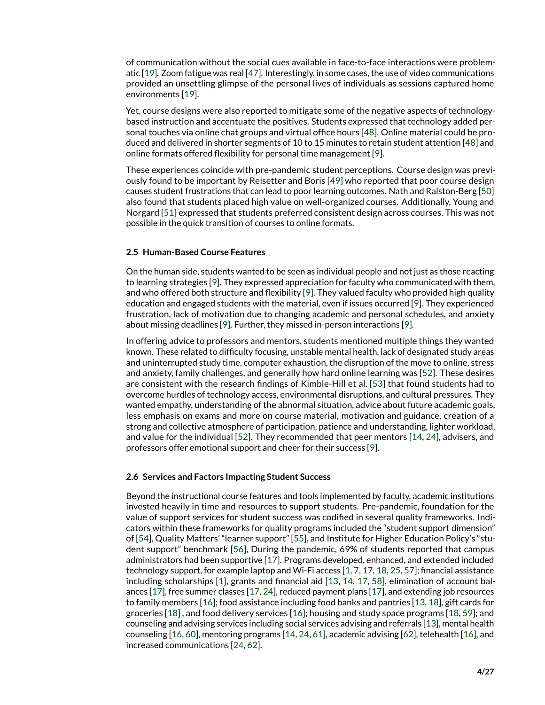of communication without the social cues available in face-to-face interactions were problematic [\[19\]](#page-23-2). Zoom fatigue was real [\[47\]](#page-25-0). Interestingly, in some cases, the use of video communications provided an unsettling glimpse of the personal lives of individuals as sessions captured home environments [\[19\]](#page-23-2).

Yet, course designs were also reported to mitigate some of the negative aspects of technologybased instruction and accentuate the positives. Students expressed that technology added personal touches via online chat groups and virtual office hours [\[48\]](#page-25-1). Online material could be produced and delivered in shorter segments of 10 to 15 minutes to retain student attention [\[48\]](#page-25-1) and online formats offered flexibility for personal time management [\[9\]](#page-22-8).

These experiences coincide with pre-pandemic student perceptions. Course design was previously found to be important by Reisetter and Boris [\[49\]](#page-25-2) who reported that poor course design causes student frustrations that can lead to poor learning outcomes. Nath and Ralston-Berg [\[50\]](#page-25-3) also found that students placed high value on well-organized courses. Additionally, Young and Norgard [\[51\]](#page-25-4) expressed that students preferred consistent design across courses. This was not possible in the quick transition of courses to online formats.

#### **2.5 Human-Based Course Features**

On the human side, students wanted to be seen as individual people and not just as those reacting to learning strategies [\[9\]](#page-22-8). They expressed appreciation for faculty who communicated with them, and who offered both structure and flexibility [\[9\]](#page-22-8). They valued faculty who provided high quality education and engaged students with the material, even if issues occurred [\[9\]](#page-22-8). They experienced frustration, lack of motivation due to changing academic and personal schedules, and anxiety about missing deadlines [\[9\]](#page-22-8). Further, they missed in-person interactions [\[9\]](#page-22-8).

In offering advice to professors and mentors, students mentioned multiple things they wanted known. These related to difficulty focusing, unstable mental health, lack of designated study areas and uninterrupted study time, computer exhaustion, the disruption of the move to online, stress and anxiety, family challenges, and generally how hard online learning was [\[52\]](#page-25-5). These desires are consistent with the research findings of Kimble-Hill et al. [\[53\]](#page-25-6) that found students had to overcome hurdles of technology access, environmental disruptions, and cultural pressures. They wanted empathy, understanding of the abnormal situation, advice about future academic goals, less emphasis on exams and more on course material, motivation and guidance, creation of a strong and collective atmosphere of participation, patience and understanding, lighter workload, and value for the individual [\[52\]](#page-25-5). They recommended that peer mentors [\[14,](#page-22-12) [24\]](#page-23-9), advisers, and professors offer emotional support and cheer for their success [\[9\]](#page-22-8).

#### **2.6 Services and Factors Impacting Student Success**

Beyond the instructional course features and tools implemented by faculty, academic institutions invested heavily in time and resources to support students. Pre-pandemic, foundation for the value of support services for student success was codified in several quality frameworks. Indicators within these frameworks for quality programs included the "student support dimension" of [\[54\]](#page-25-7), Quality Matters' "learner support" [\[55\]](#page-25-8), and Institute for Higher Education Policy's "student support" benchmark [\[56\]](#page-25-9), During the pandemic, 69% of students reported that campus administrators had been supportive [\[17\]](#page-23-1). Programs developed, enhanced, and extended included technology support, for example laptop and Wi-Fi access [\[1,](#page-22-0) [7,](#page-22-6) [17,](#page-23-1) [18,](#page-23-0) [25,](#page-23-7) [57\]](#page-25-10); financial assistance including scholarships [\[1\]](#page-22-0), grants and financial aid [\[13,](#page-22-15) [14,](#page-22-12) [17,](#page-23-1) [58\]](#page-25-11), elimination of account balances [\[17\]](#page-23-1), free summer classes [\[17,](#page-23-1) [24\]](#page-23-9), reduced payment plans [\[17\]](#page-23-1), and extending job resources to family members [\[16\]](#page-22-13); food assistance including food banks and pantries [\[13,](#page-22-15) [18\]](#page-23-0), gift cards for groceries [\[18\]](#page-23-0) , and food delivery services [\[16\]](#page-22-13); housing and study space programs [\[18,](#page-23-0) [59\]](#page-25-12); and counseling and advising services including social services advising and referrals [\[13\]](#page-22-15), mental health counseling [\[16,](#page-22-13) [60\]](#page-25-13), mentoring programs [\[14,](#page-22-12) [24,](#page-23-9) [61\]](#page-25-14), academic advising [\[62\]](#page-26-0), telehealth [\[16\]](#page-22-13), and increased communications [\[24,](#page-23-9) [62\]](#page-26-0).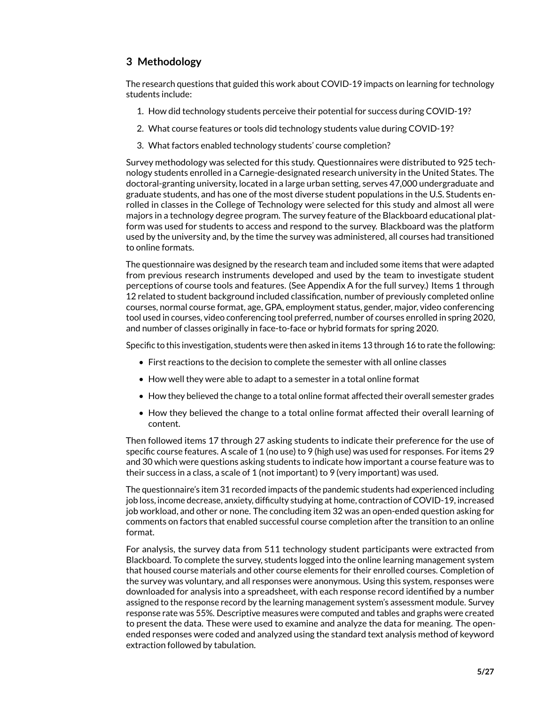# **3 Methodology**

The research questions that guided this work about COVID-19 impacts on learning for technology students include:

- 1. How did technology students perceive their potential for success during COVID-19?
- 2. What course features or tools did technology students value during COVID-19?
- 3. What factors enabled technology students' course completion?

Survey methodology was selected for this study. Questionnaires were distributed to 925 technology students enrolled in a Carnegie-designated research university in the United States. The doctoral-granting university, located in a large urban setting, serves 47,000 undergraduate and graduate students, and has one of the most diverse student populations in the U.S. Students enrolled in classes in the College of Technology were selected for this study and almost all were majors in a technology degree program. The survey feature of the Blackboard educational platform was used for students to access and respond to the survey. Blackboard was the platform used by the university and, by the time the survey was administered, all courses had transitioned to online formats.

The questionnaire was designed by the research team and included some items that were adapted from previous research instruments developed and used by the team to investigate student perceptions of course tools and features. (See Appendix A for the full survey.) Items 1 through 12 related to student background included classification, number of previously completed online courses, normal course format, age, GPA, employment status, gender, major, video conferencing tool used in courses, video conferencing tool preferred, number of courses enrolled in spring 2020, and number of classes originally in face-to-face or hybrid formats for spring 2020.

Specific to this investigation, students were then asked in items 13 through 16 to rate the following:

- First reactions to the decision to complete the semester with all online classes
- How well they were able to adapt to a semester in a total online format
- How they believed the change to a total online format affected their overall semester grades
- How they believed the change to a total online format affected their overall learning of content.

Then followed items 17 through 27 asking students to indicate their preference for the use of specific course features. A scale of 1 (no use) to 9 (high use) was used for responses. For items 29 and 30 which were questions asking students to indicate how important a course feature was to their success in a class, a scale of 1 (not important) to 9 (very important) was used.

The questionnaire's item 31 recorded impacts of the pandemic students had experienced including job loss, income decrease, anxiety, difficulty studying at home, contraction of COVID-19, increased job workload, and other or none. The concluding item 32 was an open-ended question asking for comments on factors that enabled successful course completion after the transition to an online format.

For analysis, the survey data from 511 technology student participants were extracted from Blackboard. To complete the survey, students logged into the online learning management system that housed course materials and other course elements for their enrolled courses. Completion of the survey was voluntary, and all responses were anonymous. Using this system, responses were downloaded for analysis into a spreadsheet, with each response record identified by a number assigned to the response record by the learning management system's assessment module. Survey response rate was 55%. Descriptive measures were computed and tables and graphs were created to present the data. These were used to examine and analyze the data for meaning. The openended responses were coded and analyzed using the standard text analysis method of keyword extraction followed by tabulation.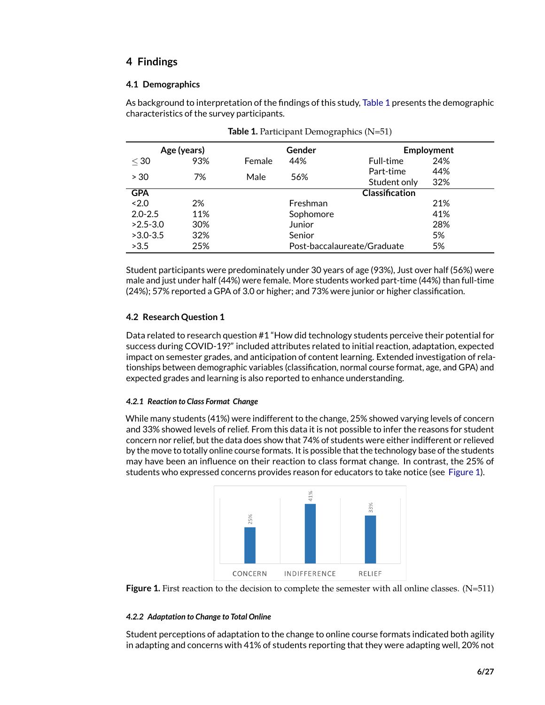# **4 Findings**

## **4.1 Demographics**

As background to interpretation of the findings of this study, [Table 1](#page-5-0) presents the demographic characteristics of the survey participants.

|              | Age (years) |        | Gender    |                             | Employment |
|--------------|-------------|--------|-----------|-----------------------------|------------|
| $\leq 30$    | 93%         | Female | 44%       | Full-time                   | 24%        |
| > 30         | 7%          | Male   | 56%       | Part-time                   | 44%        |
|              |             |        |           | Student only                | 32%        |
| <b>GPA</b>   |             |        |           | <b>Classification</b>       |            |
| ~12.0        | 2%          |        | Freshman  |                             | 21%        |
| $2.0 - 2.5$  | 11%         |        | Sophomore |                             | 41%        |
| $>2.5 - 3.0$ | 30%         |        | Junior    |                             | 28%        |
| $>3.0 - 3.5$ | 32%         |        | Senior    |                             | 5%         |
| >3.5         | 25%         |        |           | Post-baccalaureate/Graduate | 5%         |

<span id="page-5-0"></span>

|  | Table 1. Participant Demographics (N=51) |  |
|--|------------------------------------------|--|
|--|------------------------------------------|--|

Student participants were predominately under 30 years of age (93%), Just over half (56%) were male and just under half (44%) were female. More students worked part-time (44%) than full-time (24%); 57% reported a GPA of 3.0 or higher; and 73% were junior or higher classification.

## **4.2 Research Question 1**

Data related to research question #1 "How did technology students perceive their potential for success during COVID-19?" included attributes related to initial reaction, adaptation, expected impact on semester grades, and anticipation of content learning. Extended investigation of relationships between demographic variables (classification, normal course format, age, and GPA) and expected grades and learning is also reported to enhance understanding.

## *4.2.1 Reaction to Class Format Change*

While many students (41%) were indifferent to the change, 25% showed varying levels of concern and 33% showed levels of relief. From this data it is not possible to infer the reasons for student concern nor relief, but the data does show that 74% of students were either indifferent or relieved by the move to totally online course formats. It is possible that the technology base of the students may have been an influence on their reaction to class format change. In contrast, the 25% of students who expressed concerns provides reason for educators to take notice (see [Figure 1\)](#page-5-1).



<span id="page-5-1"></span>

#### *4.2.2 Adaptation to Change to Total Online*

Student perceptions of adaptation to the change to online course formats indicated both agility in adapting and concerns with 41% of students reporting that they were adapting well, 20% not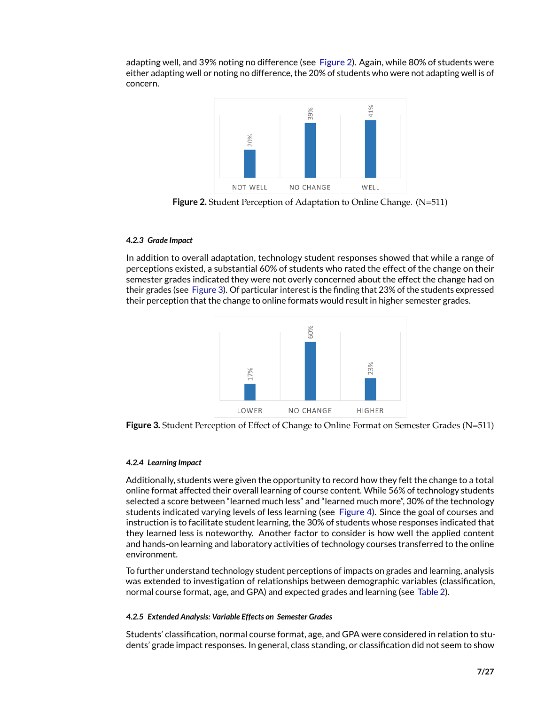adapting well, and 39% noting no difference (see [Figure 2\)](#page-6-0). Again, while 80% of students were either adapting well or noting no difference, the 20% of students who were not adapting well is of concern.



<span id="page-6-0"></span>**Figure 2.** Student Perception of Adaptation to Online Change. (N=511)

## *4.2.3 Grade Impact*

In addition to overall adaptation, technology student responses showed that while a range of perceptions existed, a substantial 60% of students who rated the effect of the change on their semester grades indicated they were not overly concerned about the effect the change had on their grades (see [Figure 3\)](#page-6-1). Of particular interest is the finding that 23% of the students expressed their perception that the change to online formats would result in higher semester grades.



<span id="page-6-1"></span>

#### *4.2.4 Learning Impact*

Additionally, students were given the opportunity to record how they felt the change to a total online format affected their overall learning of course content. While 56% of technology students selected a score between "learned much less" and "learned much more", 30% of the technology students indicated varying levels of less learning (see [Figure 4\)](#page-7-0). Since the goal of courses and instruction is to facilitate student learning, the 30% of students whose responses indicated that they learned less is noteworthy. Another factor to consider is how well the applied content and hands-on learning and laboratory activities of technology courses transferred to the online environment.

To further understand technology student perceptions of impacts on grades and learning, analysis was extended to investigation of relationships between demographic variables (classification, normal course format, age, and GPA) and expected grades and learning (see [Table 2\)](#page-7-1).

## *4.2.5 Extended Analysis: Variable Effects on Semester Grades*

Students' classification, normal course format, age, and GPA were considered in relation to students' grade impact responses. In general, class standing, or classification did not seem to show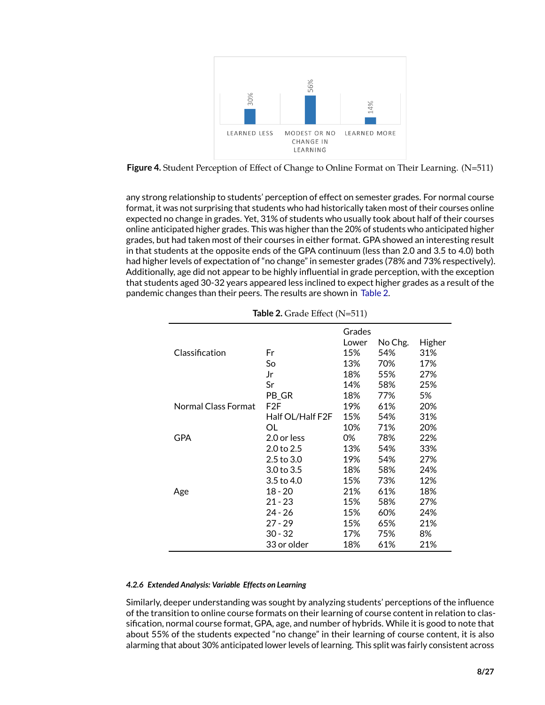

<span id="page-7-0"></span>Figure 4. Student Perception of Effect of Change to Online Format on Their Learning. (N=511)

any strong relationship to students' perception of effect on semester grades. For normal course format, it was not surprising that students who had historically taken most of their courses online expected no change in grades. Yet, 31% of students who usually took about half of their courses online anticipated higher grades. This was higher than the 20% of students who anticipated higher grades, but had taken most of their courses in either format. GPA showed an interesting result in that students at the opposite ends of the GPA continuum (less than 2.0 and 3.5 to 4.0) both had higher levels of expectation of "no change" in semester grades (78% and 73% respectively). Additionally, age did not appear to be highly influential in grade perception, with the exception that students aged 30-32 years appeared less inclined to expect higher grades as a result of the pandemic changes than their peers. The results are shown in [Table 2.](#page-7-1)

|                     |                       | Grades |         |        |
|---------------------|-----------------------|--------|---------|--------|
|                     |                       | Lower  | No Chg. | Higher |
| Classification      | Fr                    | 15%    | 54%     | 31%    |
|                     | So                    | 13%    | 70%     | 17%    |
|                     | Jr                    | 18%    | 55%     | 27%    |
|                     | Sr                    | 14%    | 58%     | 25%    |
|                     | PB_GR                 | 18%    | 77%     | 5%     |
| Normal Class Format | F2F                   | 19%    | 61%     | 20%    |
|                     | Half OL/Half F2F      | 15%    | 54%     | 31%    |
|                     | OL                    | 10%    | 71%     | 20%    |
| GPA                 | 2.0 or less           | 0%     | 78%     | 22%    |
|                     | 2.0 <sub>to</sub> 2.5 | 13%    | 54%     | 33%    |
|                     | 2.5 to 3.0            | 19%    | 54%     | 27%    |
|                     | 3.0 to 3.5            | 18%    | 58%     | 24%    |
|                     | 3.5 to 4.0            | 15%    | 73%     | 12%    |
| Age                 | $18 - 20$             | 21%    | 61%     | 18%    |
|                     | $21 - 23$             | 15%    | 58%     | 27%    |
|                     | 24 - 26               | 15%    | 60%     | 24%    |
|                     | $27 - 29$             | 15%    | 65%     | 21%    |
|                     | $30 - 32$             | 17%    | 75%     | 8%     |
|                     | 33 or older           | 18%    | 61%     | 21%    |

<span id="page-7-1"></span>

| Table 2. Grade Effect (N=511) |  |
|-------------------------------|--|
|-------------------------------|--|

#### *4.2.6 Extended Analysis: Variable Effects on Learning*

Similarly, deeper understanding was sought by analyzing students' perceptions of the influence of the transition to online course formats on their learning of course content in relation to classification, normal course format, GPA, age, and number of hybrids. While it is good to note that about 55% of the students expected "no change" in their learning of course content, it is also alarming that about 30% anticipated lower levels of learning. This split was fairly consistent across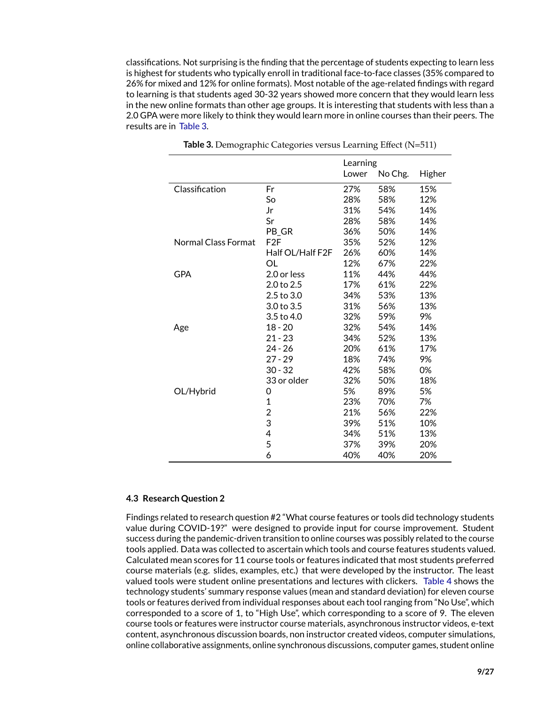classifications. Not surprising is the finding that the percentage of students expecting to learn less is highest for students who typically enroll in traditional face-to-face classes (35% compared to 26% for mixed and 12% for online formats). Most notable of the age-related findings with regard to learning is that students aged 30-32 years showed more concern that they would learn less in the new online formats than other age groups. It is interesting that students with less than a 2.0 GPA were more likely to think they would learn more in online courses than their peers. The results are in [Table 3.](#page-8-0)

|                     |                  | Learning |         |        |
|---------------------|------------------|----------|---------|--------|
|                     |                  | Lower    | No Chg. | Higher |
| Classification      | Fr               | 27%      | 58%     | 15%    |
|                     | So               | 28%      | 58%     | 12%    |
|                     | Jr               | 31%      | 54%     | 14%    |
|                     | Sr               | 28%      | 58%     | 14%    |
|                     | PB GR            | 36%      | 50%     | 14%    |
| Normal Class Format | F2F              | 35%      | 52%     | 12%    |
|                     | Half OL/Half F2F | 26%      | 60%     | 14%    |
|                     | OL               | 12%      | 67%     | 22%    |
| <b>GPA</b>          | 2.0 or less      | 11%      | 44%     | 44%    |
|                     | 2.0 to 2.5       | 17%      | 61%     | 22%    |
|                     | 2.5 to 3.0       | 34%      | 53%     | 13%    |
|                     | 3.0 to 3.5       | 31%      | 56%     | 13%    |
|                     | 3.5 to 4.0       | 32%      | 59%     | 9%     |
| Age                 | 18 - 20          | 32%      | 54%     | 14%    |
|                     | $21 - 23$        | 34%      | 52%     | 13%    |
|                     | 24 - 26          | 20%      | 61%     | 17%    |
|                     | 27 - 29          | 18%      | 74%     | 9%     |
|                     | $30 - 32$        | 42%      | 58%     | 0%     |
|                     | 33 or older      | 32%      | 50%     | 18%    |
| OL/Hybrid           | 0                | 5%       | 89%     | 5%     |
|                     | $\mathbf 1$      | 23%      | 70%     | 7%     |
|                     | 2                | 21%      | 56%     | 22%    |
|                     | 3                | 39%      | 51%     | 10%    |
|                     | 4                | 34%      | 51%     | 13%    |
|                     | 5                | 37%      | 39%     | 20%    |
|                     | 6                | 40%      | 40%     | 20%    |

<span id="page-8-0"></span>**Table 3.** Demographic Categories versus Learning Effect (N=511)

#### **4.3 Research Question 2**

Findings related to research question #2 "What course features or tools did technology students value during COVID-19?" were designed to provide input for course improvement. Student success during the pandemic-driven transition to online courses was possibly related to the course tools applied. Data was collected to ascertain which tools and course features students valued. Calculated mean scores for 11 course tools or features indicated that most students preferred course materials (e.g. slides, examples, etc.) that were developed by the instructor. The least valued tools were student online presentations and lectures with clickers. [Table 4](#page-9-0) shows the technology students' summary response values (mean and standard deviation) for eleven course tools or features derived from individual responses about each tool ranging from "No Use", which corresponded to a score of 1, to "High Use", which corresponding to a score of 9. The eleven course tools or features were instructor course materials, asynchronous instructor videos, e-text content, asynchronous discussion boards, non instructor created videos, computer simulations, online collaborative assignments, online synchronous discussions, computer games, student online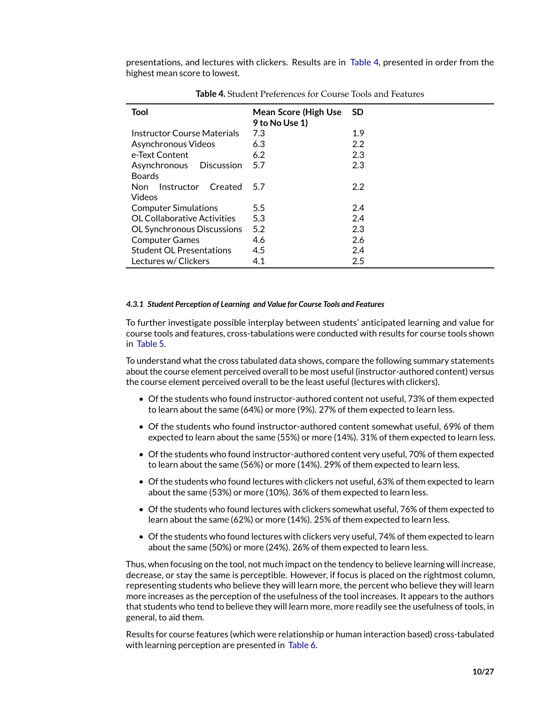presentations, and lectures with clickers. Results are in [Table 4,](#page-9-0) presented in order from the highest mean score to lowest.

| <b>Tool</b>                        | <b>Mean Score (High Use</b><br>9 to No Use 1) | - SD |
|------------------------------------|-----------------------------------------------|------|
| Instructor Course Materials        | 7.3                                           | 1.9  |
| Asynchronous Videos                | 6.3                                           | 2.2  |
| e-Text Content                     | 6.2                                           | 2.3  |
| Asynchronous Discussion            | 5.7                                           | 2.3  |
| <b>Boards</b>                      |                                               |      |
| Non Instructor Created             | 5.7                                           | 2.2  |
| Videos                             |                                               |      |
| <b>Computer Simulations</b>        | 5.5                                           | 2.4  |
| <b>OL Collaborative Activities</b> | 5.3                                           | 2.4  |
| <b>OL Synchronous Discussions</b>  | 5.2                                           | 2.3  |
| <b>Computer Games</b>              | 4.6                                           | 2.6  |
| <b>Student OL Presentations</b>    | 4.5                                           | 2.4  |
| Lectures w/ Clickers               | 4.1                                           | 2.5  |

<span id="page-9-0"></span>**Table 4.** Student Preferences for Course Tools and Features

#### *4.3.1 Student Perception of Learning and Value for Course Tools and Features*

To further investigate possible interplay between students' anticipated learning and value for course tools and features, cross-tabulations were conducted with results for course tools shown in [Table 5.](#page-10-0)

To understand what the cross tabulated data shows, compare the following summary statements about the course element perceived overall to be most useful (instructor-authored content) versus the course element perceived overall to be the least useful (lectures with clickers).

- Of the students who found instructor-authored content not useful, 73% of them expected to learn about the same (64%) or more (9%). 27% of them expected to learn less.
- Of the students who found instructor-authored content somewhat useful, 69% of them expected to learn about the same (55%) or more (14%). 31% of them expected to learn less.
- Of the students who found instructor-authored content very useful, 70% of them expected to learn about the same (56%) or more (14%). 29% of them expected to learn less.
- Of the students who found lectures with clickers not useful, 63% of them expected to learn about the same (53%) or more (10%). 36% of them expected to learn less.
- Of the students who found lectures with clickers somewhat useful, 76% of them expected to learn about the same (62%) or more (14%). 25% of them expected to learn less.
- Of the students who found lectures with clickers very useful, 74% of them expected to learn about the same (50%) or more (24%). 26% of them expected to learn less.

Thus, when focusing on the tool, not much impact on the tendency to believe learning will increase, decrease, or stay the same is perceptible. However, if focus is placed on the rightmost column, representing students who believe they will learn more, the percent who believe they will learn more increases as the perception of the usefulness of the tool increases. It appears to the authors that students who tend to believe they will learn more, more readily see the usefulness of tools, in general, to aid them.

Results for course features (which were relationship or human interaction based) cross-tabulated with learning perception are presented in [Table 6.](#page-10-1)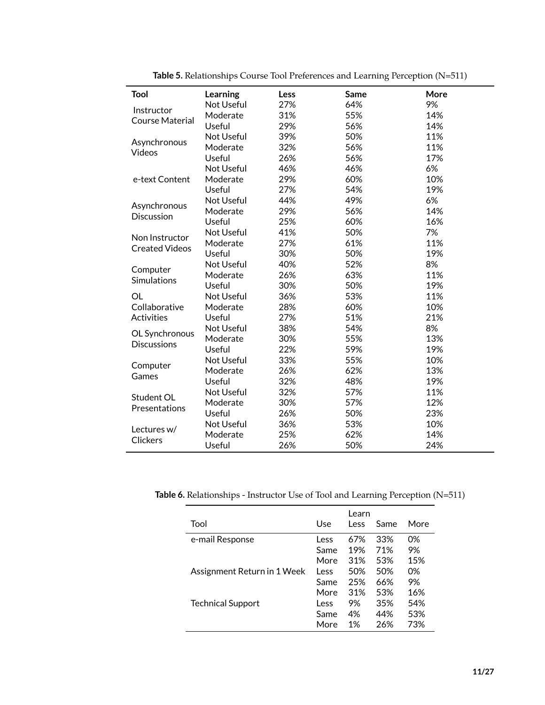| Tool                                 | Learning   | Less | Same | More |
|--------------------------------------|------------|------|------|------|
|                                      | Not Useful | 27%  | 64%  | 9%   |
| Instructor<br><b>Course Material</b> | Moderate   | 31%  | 55%  | 14%  |
|                                      | Useful     | 29%  | 56%  | 14%  |
|                                      | Not Useful | 39%  | 50%  | 11%  |
| Asynchronous                         | Moderate   | 32%  | 56%  | 11%  |
| Videos                               | Useful     | 26%  | 56%  | 17%  |
|                                      | Not Useful | 46%  | 46%  | 6%   |
| e-text Content                       | Moderate   | 29%  | 60%  | 10%  |
|                                      | Useful     | 27%  | 54%  | 19%  |
|                                      | Not Useful | 44%  | 49%  | 6%   |
| Asynchronous<br><b>Discussion</b>    | Moderate   | 29%  | 56%  | 14%  |
|                                      | Useful     | 25%  | 60%  | 16%  |
| Non Instructor                       | Not Useful | 41%  | 50%  | 7%   |
| <b>Created Videos</b>                | Moderate   | 27%  | 61%  | 11%  |
|                                      | Useful     | 30%  | 50%  | 19%  |
|                                      | Not Useful | 40%  | 52%  | 8%   |
| Computer<br>Simulations              | Moderate   | 26%  | 63%  | 11%  |
|                                      | Useful     | 30%  | 50%  | 19%  |
| <b>OL</b>                            | Not Useful | 36%  | 53%  | 11%  |
| Collaborative                        | Moderate   | 28%  | 60%  | 10%  |
| <b>Activities</b>                    | Useful     | 27%  | 51%  | 21%  |
| OL Synchronous                       | Not Useful | 38%  | 54%  | 8%   |
| <b>Discussions</b>                   | Moderate   | 30%  | 55%  | 13%  |
|                                      | Useful     | 22%  | 59%  | 19%  |
| Computer                             | Not Useful | 33%  | 55%  | 10%  |
| Games                                | Moderate   | 26%  | 62%  | 13%  |
|                                      | Useful     | 32%  | 48%  | 19%  |
| Student OL                           | Not Useful | 32%  | 57%  | 11%  |
| Presentations                        | Moderate   | 30%  | 57%  | 12%  |
|                                      | Useful     | 26%  | 50%  | 23%  |
| Lectures w/                          | Not Useful | 36%  | 53%  | 10%  |
| <b>Clickers</b>                      | Moderate   | 25%  | 62%  | 14%  |
|                                      | Useful     | 26%  | 50%  | 24%  |

<span id="page-10-0"></span>**Table 5.** Relationships Course Tool Preferences and Learning Perception (N=511)

**Table 6.** Relationships - Instructor Use of Tool and Learning Perception (N=511)

<span id="page-10-1"></span>

|                             |      | Learn |      |      |
|-----------------------------|------|-------|------|------|
| Tool                        | Use  | Less  | Same | More |
| e-mail Response             | Less | 67%   | 33%  | 0%   |
|                             | Same | 19%   | 71%  | 9%   |
|                             | More | 31%   | 53%  | 15%  |
| Assignment Return in 1 Week | Less | 50%   | 50%  | 0%   |
|                             | Same | 25%   | 66%  | 9%   |
|                             | More | 31%   | 53%  | 16%  |
| <b>Technical Support</b>    | Less | 9%    | 35%  | 54%  |
|                             | Same | 4%    | 44%  | 53%  |
|                             | More | 1%    | 26%  | 73%  |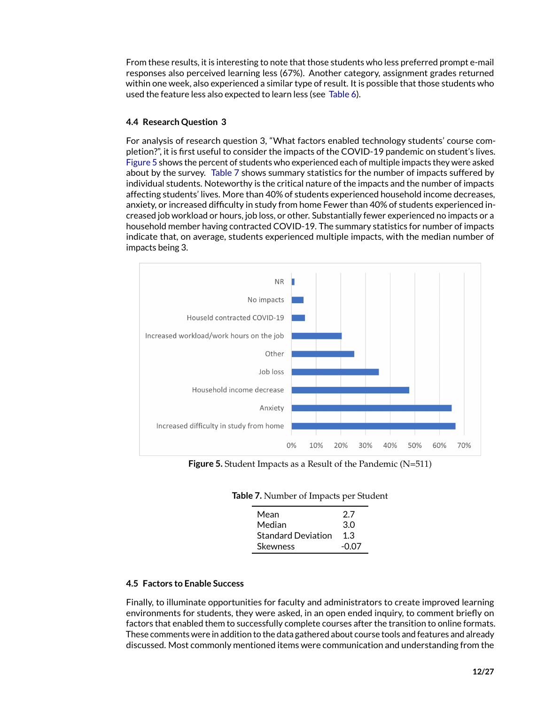From these results, it is interesting to note that those students who less preferred prompt e-mail responses also perceived learning less (67%). Another category, assignment grades returned within one week, also experienced a similar type of result. It is possible that those students who used the feature less also expected to learn less (see [Table 6\)](#page-10-1).

## **4.4 Research Question 3**

For analysis of research question 3, "What factors enabled technology students' course completion?", it is first useful to consider the impacts of the COVID-19 pandemic on student's lives. [Figure 5](#page-11-0) shows the percent of students who experienced each of multiple impacts they were asked about by the survey. [Table 7](#page-11-1) shows summary statistics for the number of impacts suffered by individual students. Noteworthy is the critical nature of the impacts and the number of impacts affecting students' lives. More than 40% of students experienced household income decreases, anxiety, or increased difficulty in study from home Fewer than 40% of students experienced increased job workload or hours, job loss, or other. Substantially fewer experienced no impacts or a household member having contracted COVID-19. The summary statistics for number of impacts indicate that, on average, students experienced multiple impacts, with the median number of impacts being 3.



**Figure 5.** Student Impacts as a Result of the Pandemic (N=511)

<span id="page-11-1"></span>

| Mean                      | 27    |
|---------------------------|-------|
| Median                    | 30    |
| <b>Standard Deviation</b> | 1.3   |
| <b>Skewness</b>           | -0.07 |

## <span id="page-11-0"></span>**Table 7.** Number of Impacts per Student

## **4.5 Factors to Enable Success**

Finally, to illuminate opportunities for faculty and administrators to create improved learning environments for students, they were asked, in an open ended inquiry, to comment briefly on factors that enabled them to successfully complete courses after the transition to online formats. These comments were in addition to the data gathered about course tools and features and already discussed. Most commonly mentioned items were communication and understanding from the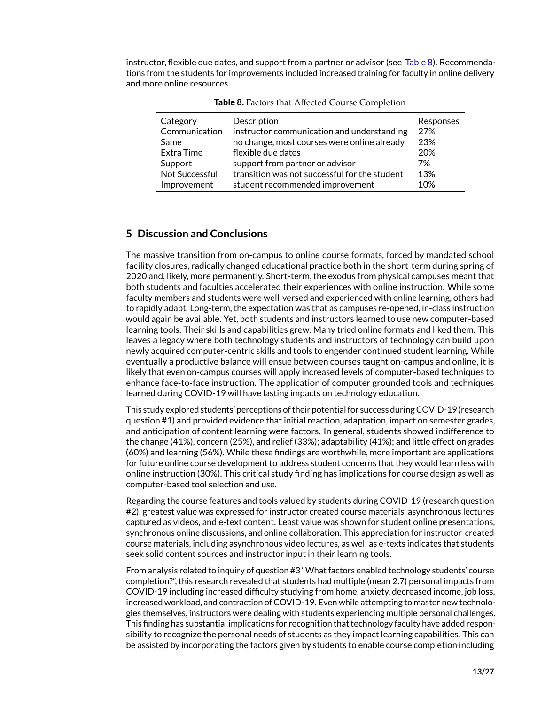instructor, flexible due dates, and support from a partner or advisor (see [Table 8\)](#page-12-0). Recommendations from the students for improvements included increased training for faculty in online delivery and more online resources.

| Category       | Description                                   | Responses |
|----------------|-----------------------------------------------|-----------|
| Communication  | instructor communication and understanding    | 27%       |
| Same           | no change, most courses were online already   | 23%       |
| Extra Time     | flexible due dates                            | 20%       |
| Support        | support from partner or advisor               | 7%        |
| Not Successful | transition was not successful for the student | 13%       |
| Improvement    | student recommended improvement               | 10%       |

<span id="page-12-0"></span>**Table 8.** Factors that Affected Course Completion

## **5 Discussion and Conclusions**

The massive transition from on-campus to online course formats, forced by mandated school facility closures, radically changed educational practice both in the short-term during spring of 2020 and, likely, more permanently. Short-term, the exodus from physical campuses meant that both students and faculties accelerated their experiences with online instruction. While some faculty members and students were well-versed and experienced with online learning, others had to rapidly adapt. Long-term, the expectation was that as campuses re-opened, in-class instruction would again be available. Yet, both students and instructors learned to use new computer-based learning tools. Their skills and capabilities grew. Many tried online formats and liked them. This leaves a legacy where both technology students and instructors of technology can build upon newly acquired computer-centric skills and tools to engender continued student learning. While eventually a productive balance will ensue between courses taught on-campus and online, it is likely that even on-campus courses will apply increased levels of computer-based techniques to enhance face-to-face instruction. The application of computer grounded tools and techniques learned during COVID-19 will have lasting impacts on technology education.

This study explored students' perceptions of their potential for success during COVID-19 (research question #1) and provided evidence that initial reaction, adaptation, impact on semester grades, and anticipation of content learning were factors. In general, students showed indifference to the change (41%), concern (25%), and relief (33%); adaptability (41%); and little effect on grades (60%) and learning (56%). While these findings are worthwhile, more important are applications for future online course development to address student concerns that they would learn less with online instruction (30%). This critical study finding has implications for course design as well as computer-based tool selection and use.

Regarding the course features and tools valued by students during COVID-19 (research question #2), greatest value was expressed for instructor created course materials, asynchronous lectures captured as videos, and e-text content. Least value was shown for student online presentations, synchronous online discussions, and online collaboration. This appreciation for instructor-created course materials, including asynchronous video lectures, as well as e-texts indicates that students seek solid content sources and instructor input in their learning tools.

From analysis related to inquiry of question #3 "What factors enabled technology students' course completion?", this research revealed that students had multiple (mean 2.7) personal impacts from COVID-19 including increased difficulty studying from home, anxiety, decreased income, job loss, increased workload, and contraction of COVID-19. Even while attempting to master new technologies themselves, instructors were dealing with students experiencing multiple personal challenges. This finding has substantial implications for recognition that technology faculty have added responsibility to recognize the personal needs of students as they impact learning capabilities. This can be assisted by incorporating the factors given by students to enable course completion including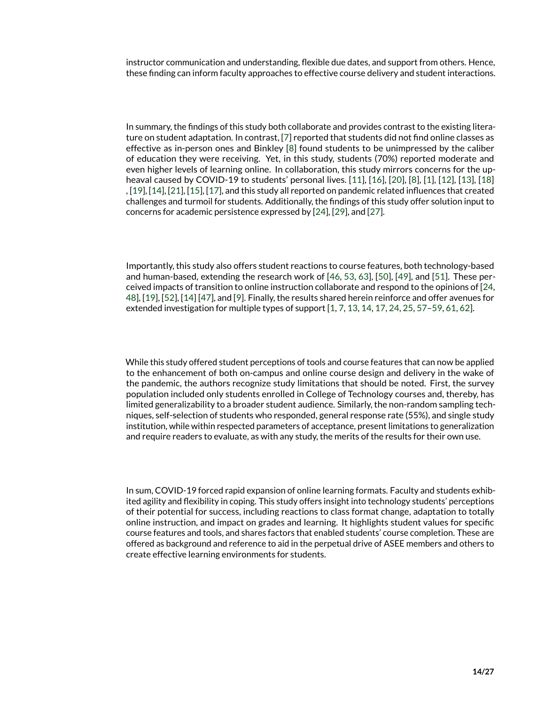instructor communication and understanding, flexible due dates, and support from others. Hence, these finding can inform faculty approaches to effective course delivery and student interactions.

In summary, the findings of this study both collaborate and provides contrast to the existing literature on student adaptation. In contrast, [\[7\]](#page-22-6) reported that students did not find online classes as effective as in-person ones and Binkley [\[8\]](#page-22-7) found students to be unimpressed by the caliber of education they were receiving. Yet, in this study, students (70%) reported moderate and even higher levels of learning online. In collaboration, this study mirrors concerns for the upheaval caused by COVID-19 to students' personal lives. [\[11\]](#page-22-10), [\[16\]](#page-22-13), [\[20\]](#page-23-3), [\[8\]](#page-22-7), [\[1\]](#page-22-0), [\[12\]](#page-22-14), [\[13\]](#page-22-15), [\[18\]](#page-23-0) , [\[19\]](#page-23-2), [\[14\]](#page-22-12), [\[21\]](#page-23-4), [\[15\]](#page-22-11), [\[17\]](#page-23-1), and this study all reported on pandemic related influences that created challenges and turmoil for students. Additionally, the findings of this study offer solution input to concerns for academic persistence expressed by [\[24\]](#page-23-9), [\[29\]](#page-23-11), and [\[27\]](#page-23-8).

Importantly, this study also offers student reactions to course features, both technology-based and human-based, extending the research work of [\[46,](#page-24-5) [53,](#page-25-6) [63\]](#page-26-1), [\[50\]](#page-25-3), [\[49\]](#page-25-2), and [\[51\]](#page-25-4). These perceived impacts of transition to online instruction collaborate and respond to the opinions of [\[24,](#page-23-9) [48\]](#page-25-1), [\[19\]](#page-23-2), [\[52\]](#page-25-5), [\[14\]](#page-22-12) [\[47\]](#page-25-0), and [\[9\]](#page-22-8). Finally, the results shared herein reinforce and offer avenues for extended investigation for multiple types of support [\[1,](#page-22-0) [7,](#page-22-6) [13,](#page-22-15) [14,](#page-22-12) [17,](#page-23-1) [24,](#page-23-9) [25,](#page-23-7) [57](#page-25-10)[–59,](#page-25-12) [61,](#page-25-14) [62\]](#page-26-0).

While this study offered student perceptions of tools and course features that can now be applied to the enhancement of both on-campus and online course design and delivery in the wake of the pandemic, the authors recognize study limitations that should be noted. First, the survey population included only students enrolled in College of Technology courses and, thereby, has limited generalizability to a broader student audience. Similarly, the non-random sampling techniques, self-selection of students who responded, general response rate (55%), and single study institution, while within respected parameters of acceptance, present limitations to generalization and require readers to evaluate, as with any study, the merits of the results for their own use.

In sum, COVID-19 forced rapid expansion of online learning formats. Faculty and students exhibited agility and flexibility in coping. This study offers insight into technology students' perceptions of their potential for success, including reactions to class format change, adaptation to totally online instruction, and impact on grades and learning. It highlights student values for specific course features and tools, and shares factors that enabled students' course completion. These are offered as background and reference to aid in the perpetual drive of ASEE members and others to create effective learning environments for students.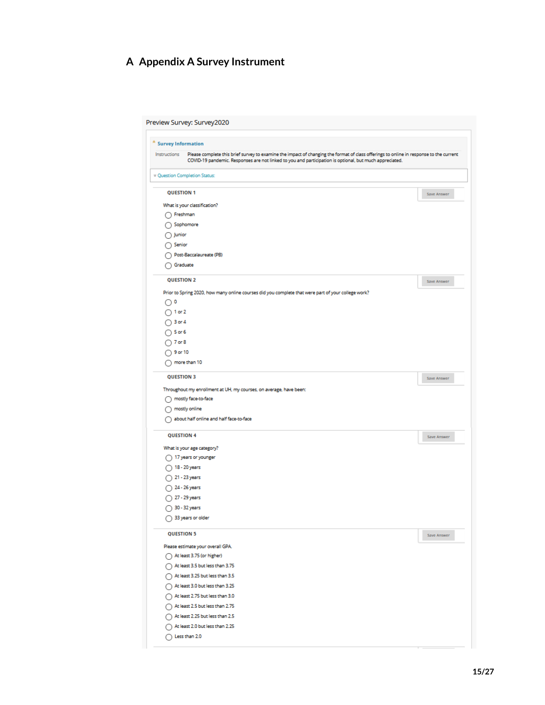# **A Appendix A Survey Instrument**

| Preview Survey: Survey2020                                                                                                                             |             |
|--------------------------------------------------------------------------------------------------------------------------------------------------------|-------------|
| $^{\textcolor{red}{\textbf{*}}}$ Survey Information                                                                                                    |             |
| Please complete this brief survey to examine the impact of changing the format of class offerings to online in response to the current<br>Instructions |             |
| COVID-19 pandemic. Responses are not linked to you and participation is optional, but much appreciated.                                                |             |
| Cuestion Completion Status:                                                                                                                            |             |
| <b>QUESTION 1</b>                                                                                                                                      | Save Answer |
| What is your classification?                                                                                                                           |             |
| ∩ Freshman                                                                                                                                             |             |
| Sophomore                                                                                                                                              |             |
| Junior<br>O                                                                                                                                            |             |
| Senior                                                                                                                                                 |             |
| Post-Baccalaureate (PB)                                                                                                                                |             |
| Graduate                                                                                                                                               |             |
| <b>QUESTION 2</b>                                                                                                                                      | Save Answer |
| Prior to Spring 2020, how many online courses did you complete that were part of your college work?                                                    |             |
| $\bigcirc$ 0                                                                                                                                           |             |
| $\bigcap$ 1 or 2                                                                                                                                       |             |
| $\bigcap$ 3 or 4                                                                                                                                       |             |
| $\bigcap$ 5 or 6                                                                                                                                       |             |
| $\bigcap$ 7 or 8                                                                                                                                       |             |
| 9 or 10<br>∩                                                                                                                                           |             |
|                                                                                                                                                        |             |
| more than 10                                                                                                                                           |             |
| <b>QUESTION 3</b>                                                                                                                                      | Save Answer |
| Throughout my enrollment at UH, my courses, on average, have been:                                                                                     |             |
| mostly face-to-face                                                                                                                                    |             |
| mostly online                                                                                                                                          |             |
| about half online and half face-to-face<br>c                                                                                                           |             |
| <b>QUESTION 4</b>                                                                                                                                      | Save Answer |
| What is your age category?                                                                                                                             |             |
| $\bigcap$ 17 years or younger                                                                                                                          |             |
| 18 - 20 years<br>∩                                                                                                                                     |             |
| $\bigcap$ 21 - 23 years                                                                                                                                |             |
| $\bigcap$ 24 - 26 years                                                                                                                                |             |
| $\bigcap$ 27 - 29 years                                                                                                                                |             |
| ◯ 30 - 32 years                                                                                                                                        |             |
| $\bigcap$ 33 years or older                                                                                                                            |             |
| <b>QUESTION 5</b>                                                                                                                                      | Save Answer |
| Please estimate your overall GPA.                                                                                                                      |             |
| At least 3.75 (or higher)                                                                                                                              |             |
| At least 3.5 but less than 3.75                                                                                                                        |             |
| At least 3.25 but less than 3.5                                                                                                                        |             |
| At least 3.0 but less than 3.25                                                                                                                        |             |
| At least 2.75 but less than 3.0                                                                                                                        |             |
| At least 2.5 but less than 2.75                                                                                                                        |             |
| At least 2.25 but less than 2.5                                                                                                                        |             |
| At least 2.0 but less than 2.25                                                                                                                        |             |
| $\bigcap$ Less than 2.0                                                                                                                                |             |
|                                                                                                                                                        |             |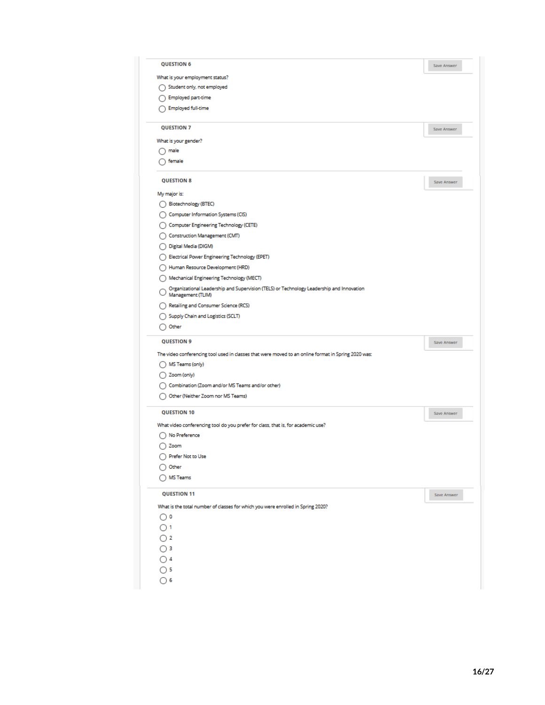| <b>QUESTION 6</b>                                                                                             | Save Answer        |
|---------------------------------------------------------------------------------------------------------------|--------------------|
| What is your employment status?                                                                               |                    |
| Student only, not employed<br>Ω                                                                               |                    |
| <b>Employed part-time</b>                                                                                     |                    |
| <b>Employed full-time</b>                                                                                     |                    |
|                                                                                                               |                    |
| <b>QUESTION 7</b>                                                                                             | <b>Save Answer</b> |
| What is your gender?<br>$\cap$ male                                                                           |                    |
| female                                                                                                        |                    |
|                                                                                                               |                    |
| <b>QUESTION 8</b>                                                                                             | Save Answer        |
| My major is:                                                                                                  |                    |
| Biotechnology (BTEC)<br>()                                                                                    |                    |
| Computer Information Systems (CIS)                                                                            |                    |
| Computer Engineering Technology (CETE)                                                                        |                    |
| Construction Management (CMT)                                                                                 |                    |
| Digital Media (DIGM)                                                                                          |                    |
| Electrical Power Engineering Technology (EPET)                                                                |                    |
| Human Resource Development (HRD)                                                                              |                    |
| Mechanical Engineering Technology (MECT)                                                                      |                    |
| Organizational Leadership and Supervision (TELS) or Technology Leadership and Innovation<br>Management (TLIM) |                    |
| Retailing and Consumer Science (RCS)                                                                          |                    |
| Supply Chain and Logistics (SCLT)                                                                             |                    |
| Other                                                                                                         |                    |
| <b>QUESTION 9</b>                                                                                             | Save Answer        |
|                                                                                                               |                    |
| The video conferencing tool used in classes that were moved to an online format in Spring 2020 was:           |                    |
| MS Teams (only)                                                                                               |                    |
| Zoom (only)                                                                                                   |                    |
| Combination (Zoom and/or MS Teams and/or other)                                                               |                    |
| Other (Neither Zoom nor MS Teams)                                                                             |                    |
| <b>QUESTION 10</b>                                                                                            | Save Answer        |
| What video conferencing tool do you prefer for class, that is, for academic use?                              |                    |
| No Preference                                                                                                 |                    |
| Zoom                                                                                                          |                    |
| Prefer Not to Use                                                                                             |                    |
| $\bigcirc$ Other                                                                                              |                    |
| MS Teams                                                                                                      |                    |
| <b>QUESTION 11</b>                                                                                            | Save Answer        |
| What is the total number of classes for which you were enrolled in Spring 2020?                               |                    |
| $\circ$                                                                                                       |                    |
| $\bigcirc$ 1                                                                                                  |                    |
| $\bigcirc$ 2                                                                                                  |                    |
| $\bigcirc$ 3                                                                                                  |                    |
| $\bigcirc$ 4                                                                                                  |                    |
| $\bigcirc$ 5                                                                                                  |                    |
| $\bigcirc$ 6                                                                                                  |                    |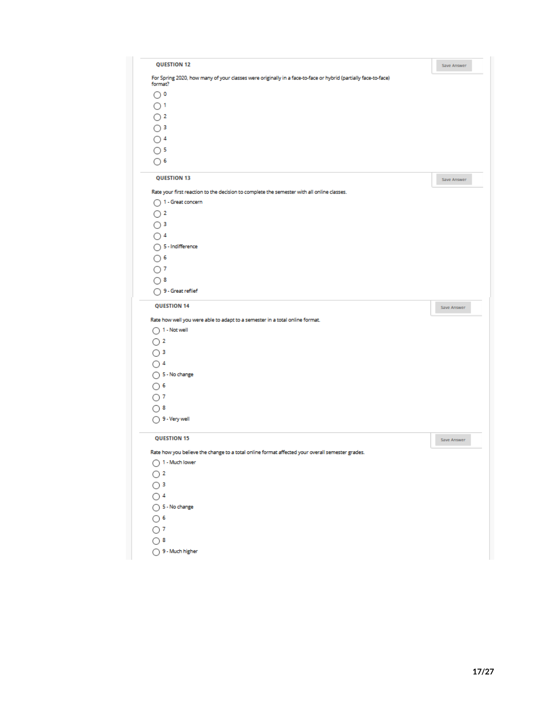| <b>QUESTION 12</b>                                                                                                        |                    |
|---------------------------------------------------------------------------------------------------------------------------|--------------------|
|                                                                                                                           | <b>Save Answer</b> |
| For Spring 2020, how many of your classes were originally in a face-to-face or hybrid (partially face-to-face)<br>format? |                    |
| $\bigcirc$ o                                                                                                              |                    |
| $\bigcirc$ <sup>1</sup>                                                                                                   |                    |
| $\bigcirc$ 2                                                                                                              |                    |
| $\bigcirc$ 3                                                                                                              |                    |
| $\bigcirc$ 4                                                                                                              |                    |
| $\bigcap$ 5                                                                                                               |                    |
|                                                                                                                           |                    |
| ∩6                                                                                                                        |                    |
| <b>QUESTION 13</b>                                                                                                        | <b>Save Answer</b> |
| Rate your first reaction to the decision to complete the semester with all online classes.                                |                    |
| ◯ 1 - Great concern                                                                                                       |                    |
| $\bigcap$ 2                                                                                                               |                    |
| $\bigcap$ 3                                                                                                               |                    |
| ∩4                                                                                                                        |                    |
| ◯ 5 - Indifference                                                                                                        |                    |
| $\bigcirc$ 6                                                                                                              |                    |
| $\circ$                                                                                                                   |                    |
| ∩8                                                                                                                        |                    |
| ◯ 9 - Great reflief                                                                                                       |                    |
| <b>QUESTION 14</b>                                                                                                        | Save Answer        |
| Rate how well you were able to adapt to a semester in a total online format.                                              |                    |
| $\bigcap$ 1 - Not well                                                                                                    |                    |
| $\bigcap$ 2                                                                                                               |                    |
| ◯ 3                                                                                                                       |                    |
| ∩4                                                                                                                        |                    |
| ◯ 5 - No change                                                                                                           |                    |
| ∩6                                                                                                                        |                    |
|                                                                                                                           |                    |
|                                                                                                                           |                    |
| $\bigcap$ 7                                                                                                               |                    |
| ∩8                                                                                                                        |                    |
| $\bigcap$ 9 - Very well                                                                                                   |                    |
| <b>QUESTION 15</b>                                                                                                        | Save Answer        |
| Rate how you believe the change to a total online format affected your overall semester grades.                           |                    |
| ◯ 1 - Much lower                                                                                                          |                    |
| $\bigcirc$ 2                                                                                                              |                    |
| $\bigcirc$ 3                                                                                                              |                    |
| $\bigcirc$ 4                                                                                                              |                    |
| $\bigcirc$ 5 - No change                                                                                                  |                    |
|                                                                                                                           |                    |
| $\circ$                                                                                                                   |                    |
| $\bigcirc$ 7<br>$\bigcirc$ 8                                                                                              |                    |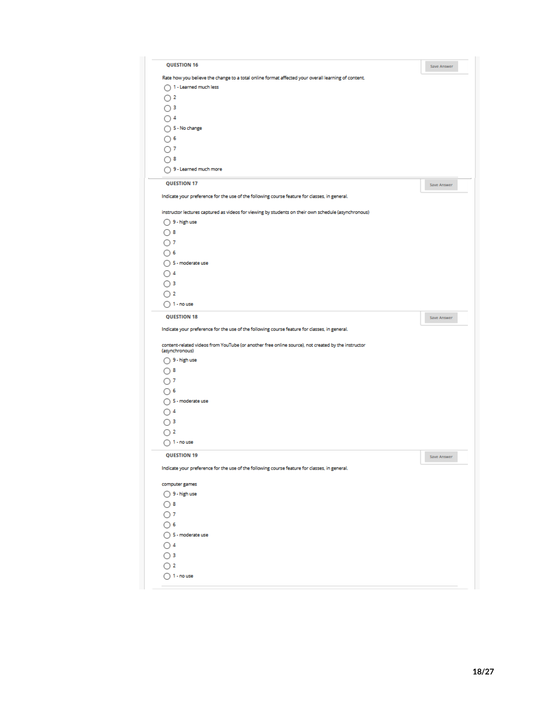| <b>QUESTION 16</b>                                                                                                                                                                                                                                                                                                                                                                                                                      | Save Answer                |
|-----------------------------------------------------------------------------------------------------------------------------------------------------------------------------------------------------------------------------------------------------------------------------------------------------------------------------------------------------------------------------------------------------------------------------------------|----------------------------|
| Rate how you believe the change to a total online format affected your overall learning of content.                                                                                                                                                                                                                                                                                                                                     |                            |
| ◯ 1 - Learned much less                                                                                                                                                                                                                                                                                                                                                                                                                 |                            |
| $\bigcirc$ 2                                                                                                                                                                                                                                                                                                                                                                                                                            |                            |
| $\bigcirc$ 3                                                                                                                                                                                                                                                                                                                                                                                                                            |                            |
| $\bigcap$ 4                                                                                                                                                                                                                                                                                                                                                                                                                             |                            |
| ◯ 5 - No change                                                                                                                                                                                                                                                                                                                                                                                                                         |                            |
| $\bigcirc$ 6                                                                                                                                                                                                                                                                                                                                                                                                                            |                            |
| ∩7                                                                                                                                                                                                                                                                                                                                                                                                                                      |                            |
| ි 8                                                                                                                                                                                                                                                                                                                                                                                                                                     |                            |
| 9 - Learned much more                                                                                                                                                                                                                                                                                                                                                                                                                   |                            |
| <b>OUESTION 17</b>                                                                                                                                                                                                                                                                                                                                                                                                                      | Save Answer                |
| Indicate your preference for the use of the following course feature for classes, in general.                                                                                                                                                                                                                                                                                                                                           |                            |
| instructor lectures captured as videos for viewing by students on their own schedule (asynchronous)                                                                                                                                                                                                                                                                                                                                     |                            |
| ◯ 9 - high use                                                                                                                                                                                                                                                                                                                                                                                                                          |                            |
| $\bigcirc$ 8                                                                                                                                                                                                                                                                                                                                                                                                                            |                            |
| ○7                                                                                                                                                                                                                                                                                                                                                                                                                                      |                            |
| ∩ 6                                                                                                                                                                                                                                                                                                                                                                                                                                     |                            |
| $\bigcap$ 5 - moderate use                                                                                                                                                                                                                                                                                                                                                                                                              |                            |
| $\bigcap$ 4                                                                                                                                                                                                                                                                                                                                                                                                                             |                            |
| $\bigcirc$ 3                                                                                                                                                                                                                                                                                                                                                                                                                            |                            |
|                                                                                                                                                                                                                                                                                                                                                                                                                                         |                            |
|                                                                                                                                                                                                                                                                                                                                                                                                                                         |                            |
|                                                                                                                                                                                                                                                                                                                                                                                                                                         |                            |
| <b>QUESTION 18</b>                                                                                                                                                                                                                                                                                                                                                                                                                      | Save Answer                |
|                                                                                                                                                                                                                                                                                                                                                                                                                                         |                            |
|                                                                                                                                                                                                                                                                                                                                                                                                                                         |                            |
|                                                                                                                                                                                                                                                                                                                                                                                                                                         |                            |
|                                                                                                                                                                                                                                                                                                                                                                                                                                         |                            |
|                                                                                                                                                                                                                                                                                                                                                                                                                                         |                            |
|                                                                                                                                                                                                                                                                                                                                                                                                                                         |                            |
|                                                                                                                                                                                                                                                                                                                                                                                                                                         |                            |
|                                                                                                                                                                                                                                                                                                                                                                                                                                         |                            |
|                                                                                                                                                                                                                                                                                                                                                                                                                                         |                            |
|                                                                                                                                                                                                                                                                                                                                                                                                                                         |                            |
| $\bigcirc$ 2<br><b>OUESTION 19</b>                                                                                                                                                                                                                                                                                                                                                                                                      | $\label{eq:2}$ Save Answer |
|                                                                                                                                                                                                                                                                                                                                                                                                                                         |                            |
|                                                                                                                                                                                                                                                                                                                                                                                                                                         |                            |
|                                                                                                                                                                                                                                                                                                                                                                                                                                         |                            |
|                                                                                                                                                                                                                                                                                                                                                                                                                                         |                            |
|                                                                                                                                                                                                                                                                                                                                                                                                                                         |                            |
|                                                                                                                                                                                                                                                                                                                                                                                                                                         |                            |
|                                                                                                                                                                                                                                                                                                                                                                                                                                         |                            |
|                                                                                                                                                                                                                                                                                                                                                                                                                                         |                            |
| ◯ 2<br>$\bigcap$ 1 - no use<br>$\bigcirc$ 8<br>∩7<br>∩6<br>$\bigcap$ 4<br>$\bigcap$ 3<br>$\bigcap$ 1 - no use<br>⊙8<br>○7<br>⊙ 6<br>$\bigcirc$ 4<br>∩в                                                                                                                                                                                                                                                                                  |                            |
| Indicate your preference for the use of the following course feature for classes, in general.<br>content-related videos from YouTube (or another free online source), not created by the instructor<br>(asynchronous)<br>○ 9 - high use<br>○ 5 - moderate use<br>Indicate your preference for the use of the following course feature for classes, in general.<br>computer games<br>◯ 9 - high use<br>◯ 5 - moderate use<br>$\bigcap$ 2 |                            |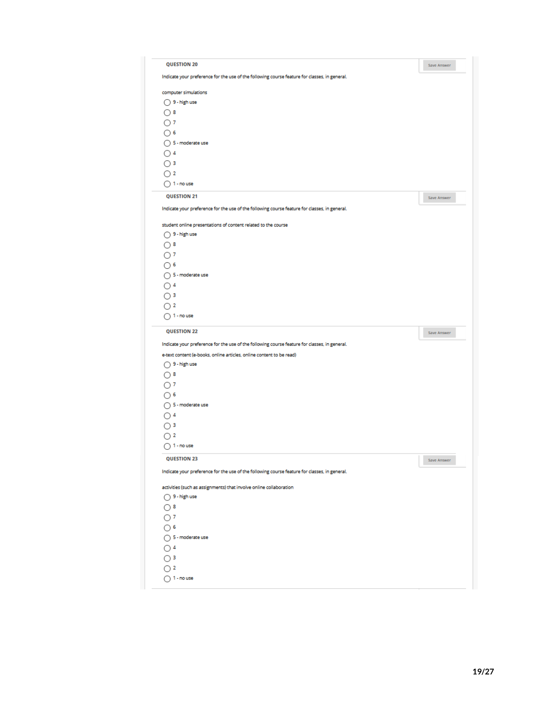| <b>OUESTION 20</b>                                                                            | Save Answer |
|-----------------------------------------------------------------------------------------------|-------------|
| Indicate your preference for the use of the following course feature for classes, in general. |             |
| computer simulations                                                                          |             |
| $\bigcirc$ 9 - high use                                                                       |             |
| ∩8                                                                                            |             |
| ○ 7                                                                                           |             |
| ∩6                                                                                            |             |
| ◯ 5 - moderate use                                                                            |             |
| $\bigcap$ 4                                                                                   |             |
| $\bigcirc$ 3                                                                                  |             |
| $\bigcap$ 2                                                                                   |             |
| $\bigcirc$ 1 - no use                                                                         |             |
| <b>QUESTION 21</b>                                                                            | Save Answer |
| Indicate your preference for the use of the following course feature for classes, in general. |             |
|                                                                                               |             |
| student online presentations of content related to the course                                 |             |
| ◯ 9 - high use                                                                                |             |
| $\bigcirc$ 8                                                                                  |             |
| ○"                                                                                            |             |
| ∩ 6                                                                                           |             |
| $\bigcap$ 5 - moderate use                                                                    |             |
| $\bigcirc$ 4                                                                                  |             |
| ∩ 3                                                                                           |             |
| $\bigcirc$ 2                                                                                  |             |
| $\bigcap$ 1 - no use                                                                          |             |
| <b>QUESTION 22</b>                                                                            | Save Answer |
| Indicate your preference for the use of the following course feature for classes, in general. |             |
| e-text content (e-books, online articles, online content to be read)                          |             |
| ◯ 9 - high use                                                                                |             |
| $\bigcirc$ 8                                                                                  |             |
| ∩ 7                                                                                           |             |
| ∩6                                                                                            |             |
| ◯ 5 - moderate use                                                                            |             |
| $\bigcap$ 4                                                                                   |             |
| $\bigcirc$ 3                                                                                  |             |
| ○ 2                                                                                           |             |
| $\bigcap$ 1 - no use                                                                          |             |
| <b>QUESTION 23</b>                                                                            | Save Answer |
| Indicate your preference for the use of the following course feature for classes, in general. |             |
|                                                                                               |             |
| activities (such as assignments) that involve online collaboration                            |             |
| ○ 9 - high use                                                                                |             |
|                                                                                               |             |
| $\bigcirc$ 8                                                                                  |             |
| $\bigcirc$ 7                                                                                  |             |
| $\bigcirc$ 6                                                                                  |             |
| ◯ 5 - moderate use                                                                            |             |
| $\bigcirc$ 4                                                                                  |             |
| $\bigcirc$ 3                                                                                  |             |
| $\bigcirc$ 2                                                                                  |             |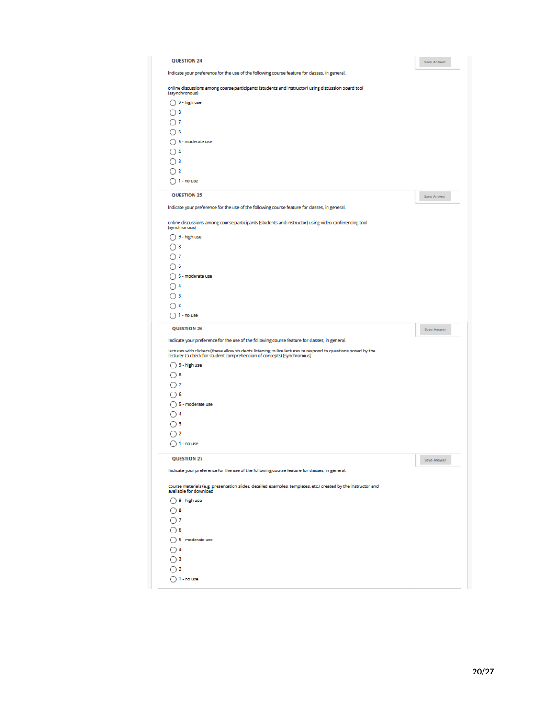| <b>OUESTION 24</b>                                                                                                                                                                     | Save Answer |
|----------------------------------------------------------------------------------------------------------------------------------------------------------------------------------------|-------------|
| Indicate your preference for the use of the following course feature for classes, in general.                                                                                          |             |
| online discussions among course participants (students and instructor) using discussion board tool<br>(asynchronous)                                                                   |             |
| $\bigcirc$ 9 - high use                                                                                                                                                                |             |
| ∩8                                                                                                                                                                                     |             |
| ∩ 7                                                                                                                                                                                    |             |
| ∩6                                                                                                                                                                                     |             |
| ◯ 5 - moderate use                                                                                                                                                                     |             |
| $\bigcap$ 4                                                                                                                                                                            |             |
| ∩з                                                                                                                                                                                     |             |
| 72                                                                                                                                                                                     |             |
| $\bigcap$ 1 - no use                                                                                                                                                                   |             |
|                                                                                                                                                                                        |             |
| QUESTION 25                                                                                                                                                                            | Save Answer |
| Indicate your preference for the use of the following course feature for classes, in general.                                                                                          |             |
|                                                                                                                                                                                        |             |
| online discussions among course participants (students and instructor) using video conferencing tool<br>(synchronous)                                                                  |             |
| $\bigcap$ 9 - high use                                                                                                                                                                 |             |
| ∩8                                                                                                                                                                                     |             |
| ∩ 7                                                                                                                                                                                    |             |
| ∩6                                                                                                                                                                                     |             |
| ◯ 5 - moderate use                                                                                                                                                                     |             |
| $\bigcap$ 4                                                                                                                                                                            |             |
| ∩з                                                                                                                                                                                     |             |
| $\bigcap$ 2                                                                                                                                                                            |             |
|                                                                                                                                                                                        |             |
| $\bigcap$ 1 - no use                                                                                                                                                                   |             |
| <b>QUESTION 26</b>                                                                                                                                                                     | Save Answer |
| Indicate your preference for the use of the following course feature for classes, in general.                                                                                          |             |
| lectures with clickers (these allow students listening to live lectures to respond to questions posed by the<br>lecturer to check for student comprehension of concepts) (synchronous) |             |
| $\bigcirc$ 9 - high use                                                                                                                                                                |             |
| ∩8                                                                                                                                                                                     |             |
| ∩ 7                                                                                                                                                                                    |             |
| ∩6                                                                                                                                                                                     |             |
| ◯ 5 - moderate use                                                                                                                                                                     |             |
| $\bigcap 4$                                                                                                                                                                            |             |
| ∩з                                                                                                                                                                                     |             |
| 72                                                                                                                                                                                     |             |
| $\bigcap$ 1 - no use                                                                                                                                                                   |             |
|                                                                                                                                                                                        |             |
| <b>QUESTION 27</b>                                                                                                                                                                     | Save Answer |
| Indicate your preference for the use of the following course feature for classes, in general.                                                                                          |             |
| course materials (e.g. presentation slides, detailed examples, templates, etc.) created by the instructor and                                                                          |             |
| available for download                                                                                                                                                                 |             |
| $\bigcirc$ 9 - high use                                                                                                                                                                |             |
| $\bigcirc$ 8                                                                                                                                                                           |             |
|                                                                                                                                                                                        |             |
| ∩1                                                                                                                                                                                     |             |
| ∩6                                                                                                                                                                                     |             |
| ◯ 5 - moderate use                                                                                                                                                                     |             |
| $\bigcap$ 4                                                                                                                                                                            |             |
| ◯ 3                                                                                                                                                                                    |             |
| $\bigcirc$ 2                                                                                                                                                                           |             |
| $\bigcirc$ 1 - no use                                                                                                                                                                  |             |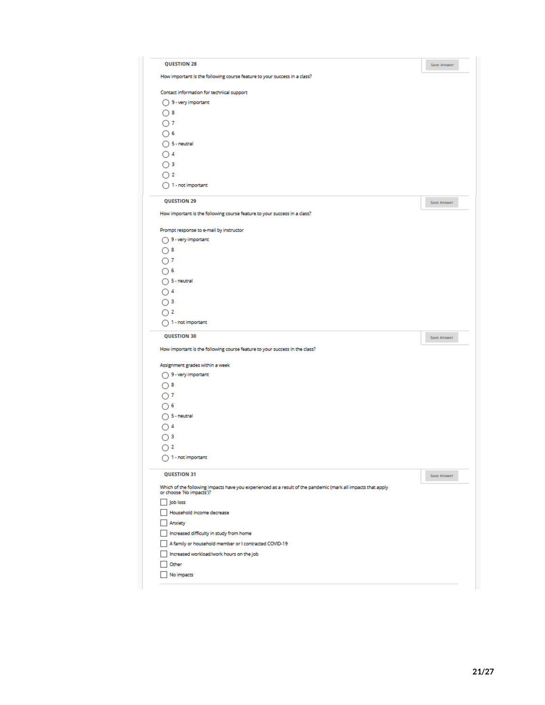|                                                                                                                                          | Save Answer |
|------------------------------------------------------------------------------------------------------------------------------------------|-------------|
| How important is the following course feature to your success in a class?                                                                |             |
| Contact information for technical support                                                                                                |             |
| 9 - very important                                                                                                                       |             |
| ೧ 8                                                                                                                                      |             |
| ∩ 7                                                                                                                                      |             |
| ∩ 6                                                                                                                                      |             |
| $\bigcirc$ 5 - neutral                                                                                                                   |             |
| $\bigcap$ 4                                                                                                                              |             |
| ◯∃                                                                                                                                       |             |
| $\bigcap$ 2                                                                                                                              |             |
| $\bigcap$ 1 - not important                                                                                                              |             |
| <b>QUESTION 29</b>                                                                                                                       | Save Answer |
| How important is the following course feature to your success in a class?                                                                |             |
| Prompt response to e-mail by instructor                                                                                                  |             |
| ◯ 9 - very important                                                                                                                     |             |
| $\bigcap$ 8                                                                                                                              |             |
| ∩ 7                                                                                                                                      |             |
| $\bigcap$ 6                                                                                                                              |             |
| $\bigcap$ 5 - neutral                                                                                                                    |             |
| $\bigcap$ 4                                                                                                                              |             |
| $\bigcirc$ 3                                                                                                                             |             |
| ∩ 2                                                                                                                                      |             |
| $\bigcap$ 1 - not important                                                                                                              |             |
| <b>QUESTION 30</b>                                                                                                                       |             |
|                                                                                                                                          | Save Answer |
| How important is the following course feature to your success in the class?                                                              |             |
|                                                                                                                                          |             |
| Assignment grades within a week                                                                                                          |             |
| $\bigcap$ 9 - very important                                                                                                             |             |
| $\bigcirc$ 8                                                                                                                             |             |
| ∩7                                                                                                                                       |             |
| ∩6                                                                                                                                       |             |
| ◯ 5 - neutral                                                                                                                            |             |
| $\bigcirc$ 4                                                                                                                             |             |
| $\bigcirc$ 3                                                                                                                             |             |
| $\bigcirc$ 2                                                                                                                             |             |
| $\bigcirc$ 1 - not important                                                                                                             |             |
| <b>OUESTION 31</b>                                                                                                                       | Save Answer |
| Which of the following impacts have you experienced as a result of the pandemic (mark all impacts that apply<br>or choose 'No impacts')? |             |
| Job loss                                                                                                                                 |             |
| Household income decrease                                                                                                                |             |
| Anxiety                                                                                                                                  |             |
| Increased difficulty in study from home                                                                                                  |             |
| A family or household member or I contracted COVID-19                                                                                    |             |
| Increased workload/work hours on the job                                                                                                 |             |
| Other<br>No impacts                                                                                                                      |             |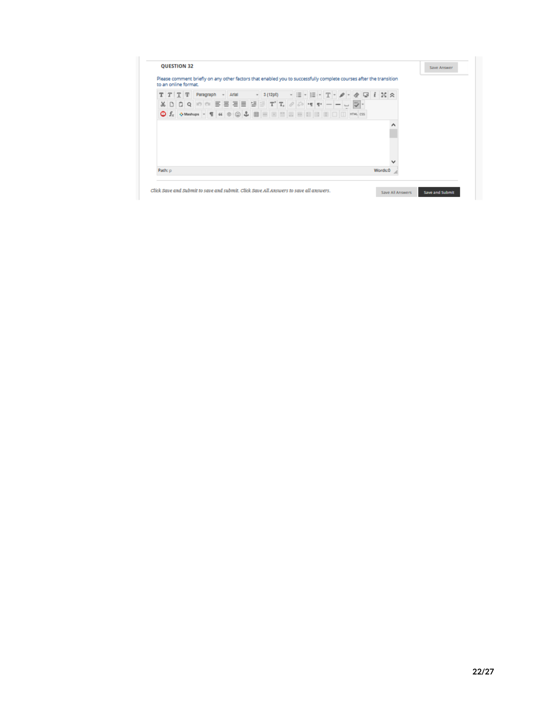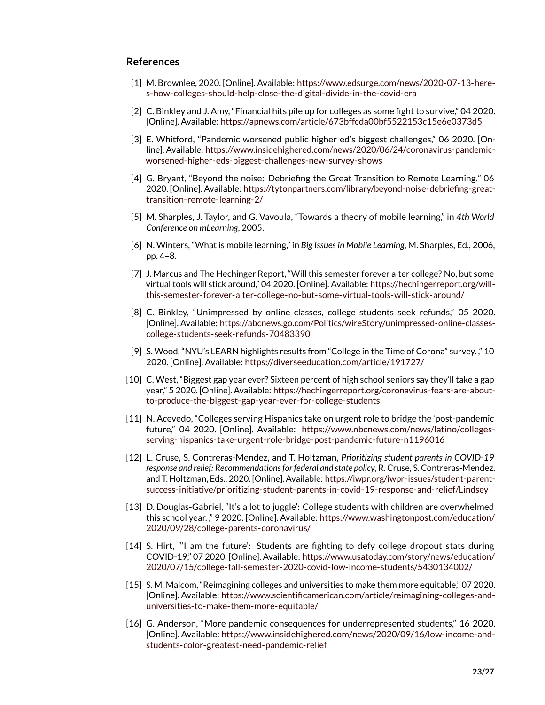## **References**

- <span id="page-22-0"></span>[1] M. Brownlee, 2020. [Online]. Available: [https://www.edsurge.com/news/2020-07-13-here](https://www.edsurge.com/news/2020-07-13-here-s-how-colleges-should-help-close-the-digital-divide-in-the-covid-era)[s-how-colleges-should-help-close-the-digital-divide-in-the-covid-era](https://www.edsurge.com/news/2020-07-13-here-s-how-colleges-should-help-close-the-digital-divide-in-the-covid-era)
- <span id="page-22-1"></span>[2] C. Binkley and J. Amy, "Financial hits pile up for colleges as some fight to survive," 04 2020. [Online]. Available: <https://apnews.com/article/673bffcda00bf5522153c15e6e0373d5>
- <span id="page-22-2"></span>[3] E. Whitford, "Pandemic worsened public higher ed's biggest challenges," 06 2020. [Online]. Available: [https://www.insidehighered.com/news/2020/06/24/coronavirus-pandemic](https://www.insidehighered.com/news/2020/06/24/coronavirus-pandemic-worsened-higher-eds-biggest-challenges-new-survey-shows)[worsened-higher-eds-biggest-challenges-new-survey-shows](https://www.insidehighered.com/news/2020/06/24/coronavirus-pandemic-worsened-higher-eds-biggest-challenges-new-survey-shows)
- <span id="page-22-3"></span>[4] G. Bryant, "Beyond the noise: Debriefing the Great Transition to Remote Learning." 06 2020. [Online]. Available: [https://tytonpartners.com/library/beyond-noise-debriefing-great](https://tytonpartners.com/library/beyond-noise-debriefing-great-transition-remote-learning-2/)[transition-remote-learning-2/](https://tytonpartners.com/library/beyond-noise-debriefing-great-transition-remote-learning-2/)
- <span id="page-22-4"></span>[5] M. Sharples, J. Taylor, and G. Vavoula, "Towards a theory of mobile learning," in *4th World Conference on mLearning*, 2005.
- <span id="page-22-5"></span>[6] N. Winters, "What is mobile learning," in *Big Issues in Mobile Learning*, M. Sharples, Ed., 2006, pp. 4–8.
- <span id="page-22-6"></span>[7] J. Marcus and The Hechinger Report, "Will this semester forever alter college? No, but some virtual tools will stick around," 04 2020. [Online]. Available: [https://hechingerreport.org/will](https://hechingerreport.org/will-this-semester-forever-alter-college-no-but-some-virtual-tools-will-stick-around/)[this-semester-forever-alter-college-no-but-some-virtual-tools-will-stick-around/](https://hechingerreport.org/will-this-semester-forever-alter-college-no-but-some-virtual-tools-will-stick-around/)
- <span id="page-22-7"></span>[8] C. Binkley, "Unimpressed by online classes, college students seek refunds," 05 2020. [Online]. Available: [https://abcnews.go.com/Politics/wireStory/unimpressed-online-classes](https://abcnews.go.com/Politics/wireStory/unimpressed-online-classes-college-students-seek-refunds-70483390)[college-students-seek-refunds-70483390](https://abcnews.go.com/Politics/wireStory/unimpressed-online-classes-college-students-seek-refunds-70483390)
- <span id="page-22-8"></span>[9] S. Wood, "NYU's LEARN highlights results from "College in the Time of Corona" survey. ," 10 2020. [Online]. Available: <https://diverseeducation.com/article/191727/>
- <span id="page-22-9"></span>[10] C. West, "Biggest gap year ever? Sixteen percent of high school seniors say they'll take a gap year," 5 2020. [Online]. Available: [https://hechingerreport.org/coronavirus-fears-are-about](https://hechingerreport.org/coronavirus-fears-are-about-to-produce-the-biggest-gap-year-ever-for-college-students)[to-produce-the-biggest-gap-year-ever-for-college-students](https://hechingerreport.org/coronavirus-fears-are-about-to-produce-the-biggest-gap-year-ever-for-college-students)
- <span id="page-22-10"></span>[11] N. Acevedo, "Colleges serving Hispanics take on urgent role to bridge the 'post-pandemic future," 04 2020. [Online]. Available: [https://www.nbcnews.com/news/latino/colleges](https://www.nbcnews.com/news/latino/colleges-serving-hispanics-take-urgent-role-bridge-post-pandemic-future-n1196016)[serving-hispanics-take-urgent-role-bridge-post-pandemic-future-n1196016](https://www.nbcnews.com/news/latino/colleges-serving-hispanics-take-urgent-role-bridge-post-pandemic-future-n1196016)
- <span id="page-22-14"></span>[12] L. Cruse, S. Contreras-Mendez, and T. Holtzman, *Prioritizing student parents in COVID-19 response and relief: Recommendations for federal and state policy*, R. Cruse, S. Contreras-Mendez, and T. Holtzman, Eds., 2020. [Online]. Available: [https://iwpr.org/iwpr-issues/student-parent](https://iwpr.org/iwpr-issues/student-parent-success-initiative/prioritizing-student-parents-in-covid-19-response-and-relief/Lindsey)[success-initiative/prioritizing-student-parents-in-covid-19-response-and-relief/Lindsey](https://iwpr.org/iwpr-issues/student-parent-success-initiative/prioritizing-student-parents-in-covid-19-response-and-relief/Lindsey)
- <span id="page-22-15"></span>[13] D. Douglas-Gabriel, "It's a lot to juggle': College students with children are overwhelmed this school year. ," 9 2020. [Online]. Available: [https://www.washingtonpost.com/education/](https://www.washingtonpost.com/education/2020/09/28/college-parents-coronavirus/) [2020/09/28/college-parents-coronavirus/](https://www.washingtonpost.com/education/2020/09/28/college-parents-coronavirus/)
- <span id="page-22-12"></span>[14] S. Hirt, "'I am the future': Students are fighting to defy college dropout stats during COVID-19," 07 2020. [Online]. Available: [https://www.usatoday.com/story/news/education/](https://www.usatoday.com/story/news/education/2020/07/15/college-fall-semester-2020-covid-low-income-students/5430134002/) [2020/07/15/college-fall-semester-2020-covid-low-income-students/5430134002/](https://www.usatoday.com/story/news/education/2020/07/15/college-fall-semester-2020-covid-low-income-students/5430134002/)
- <span id="page-22-11"></span>[15] S. M. Malcom, "Reimagining colleges and universities to make them more equitable," 07 2020. [Online]. Available: [https://www.scientificamerican.com/article/reimagining-colleges-and](https://www.scientificamerican.com/article/reimagining-colleges-and-universities-to-make-them-more-equitable/)[universities-to-make-them-more-equitable/](https://www.scientificamerican.com/article/reimagining-colleges-and-universities-to-make-them-more-equitable/)
- <span id="page-22-13"></span>[16] G. Anderson, "More pandemic consequences for underrepresented students," 16 2020. [Online]. Available: [https://www.insidehighered.com/news/2020/09/16/low-income-and](https://www.insidehighered.com/news/2020/09/16/low-income-and-students-color-greatest-need-pandemic-relief)[students-color-greatest-need-pandemic-relief](https://www.insidehighered.com/news/2020/09/16/low-income-and-students-color-greatest-need-pandemic-relief)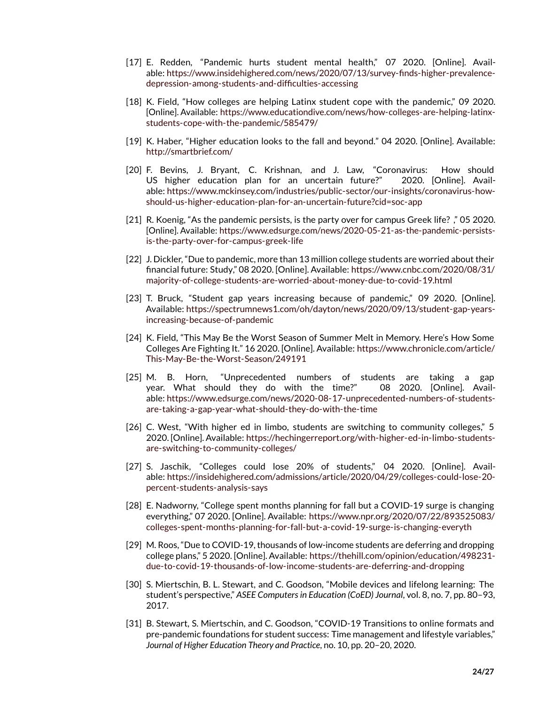- <span id="page-23-1"></span>[17] E. Redden, "Pandemic hurts student mental health," 07 2020. [Online]. Available: [https://www.insidehighered.com/news/2020/07/13/survey-finds-higher-prevalence](https://www.insidehighered.com/news/2020/07/13/survey-finds-higher-prevalence-depression-among-students-and-difficulties-accessing)[depression-among-students-and-difficulties-accessing](https://www.insidehighered.com/news/2020/07/13/survey-finds-higher-prevalence-depression-among-students-and-difficulties-accessing)
- <span id="page-23-0"></span>[18] K. Field, "How colleges are helping Latinx student cope with the pandemic," 09 2020. [Online]. Available: [https://www.educationdive.com/news/how-colleges-are-helping-latinx](https://www.educationdive.com/news/how-colleges-are-helping-latinx-students-cope-with-the-pandemic/585479/)[students-cope-with-the-pandemic/585479/](https://www.educationdive.com/news/how-colleges-are-helping-latinx-students-cope-with-the-pandemic/585479/)
- <span id="page-23-2"></span>[19] K. Haber, "Higher education looks to the fall and beyond." 04 2020. [Online]. Available: <http://smartbrief.com/>
- <span id="page-23-3"></span>[20] F. Bevins, J. Bryant, C. Krishnan, and J. Law, "Coronavirus: How should US higher education plan for an uncertain future?" 2020. [Online]. Available: [https://www.mckinsey.com/industries/public-sector/our-insights/coronavirus-how](https://www.mckinsey.com/industries/public-sector/our-insights/coronavirus-how-should-us-higher-education-plan-for-an-uncertain-future?cid=soc-app)[should-us-higher-education-plan-for-an-uncertain-future?cid=soc-app](https://www.mckinsey.com/industries/public-sector/our-insights/coronavirus-how-should-us-higher-education-plan-for-an-uncertain-future?cid=soc-app)
- <span id="page-23-4"></span>[21] R. Koenig, "As the pandemic persists, is the party over for campus Greek life? ," 05 2020. [Online]. Available: [https://www.edsurge.com/news/2020-05-21-as-the-pandemic-persists](https://www.edsurge.com/news/2020-05-21-as-the-pandemic-persists-is-the-party-over-for-campus-greek-life)[is-the-party-over-for-campus-greek-life](https://www.edsurge.com/news/2020-05-21-as-the-pandemic-persists-is-the-party-over-for-campus-greek-life)
- <span id="page-23-5"></span>[22] J. Dickler, "Due to pandemic, more than 13 million college students are worried about their financial future: Study," 08 2020. [Online]. Available: [https://www.cnbc.com/2020/08/31/](https://www.cnbc.com/2020/08/31/majority-of-college-students-are-worried-about-money-due-to-covid-19.html) [majority-of-college-students-are-worried-about-money-due-to-covid-19.html](https://www.cnbc.com/2020/08/31/majority-of-college-students-are-worried-about-money-due-to-covid-19.html)
- <span id="page-23-6"></span>[23] T. Bruck, "Student gap years increasing because of pandemic," 09 2020. [Online]. Available: [https://spectrumnews1.com/oh/dayton/news/2020/09/13/student-gap-years](https://spectrumnews1.com/oh/dayton/news/2020/09/13/student-gap-years-increasing-because-of-pandemic)[increasing-because-of-pandemic](https://spectrumnews1.com/oh/dayton/news/2020/09/13/student-gap-years-increasing-because-of-pandemic)
- <span id="page-23-9"></span>[24] K. Field, "This May Be the Worst Season of Summer Melt in Memory. Here's How Some Colleges Are Fighting It." 16 2020. [Online]. Available: [https://www.chronicle.com/article/](https://www.chronicle.com/article/This-May-Be-the-Worst-Season/249191) [This-May-Be-the-Worst-Season/249191](https://www.chronicle.com/article/This-May-Be-the-Worst-Season/249191)
- <span id="page-23-7"></span>[25] M. B. Horn, "Unprecedented numbers of students are taking a gap year. What should they do with the time?" 08 2020. [Online]. Available: [https://www.edsurge.com/news/2020-08-17-unprecedented-numbers-of-students](https://www.edsurge.com/news/2020-08-17-unprecedented-numbers-of-students-are-taking-a-gap-year-what-should-they-do-with-the-time)[are-taking-a-gap-year-what-should-they-do-with-the-time](https://www.edsurge.com/news/2020-08-17-unprecedented-numbers-of-students-are-taking-a-gap-year-what-should-they-do-with-the-time)
- [26] C. West, "With higher ed in limbo, students are switching to community colleges," 5 2020. [Online]. Available: [https://hechingerreport.org/with-higher-ed-in-limbo-students](https://hechingerreport.org/with-higher-ed-in-limbo-students-are-switching-to-community-colleges/)[are-switching-to-community-colleges/](https://hechingerreport.org/with-higher-ed-in-limbo-students-are-switching-to-community-colleges/)
- <span id="page-23-8"></span>[27] S. Jaschik, "Colleges could lose 20% of students," 04 2020. [Online]. Available: [https://insidehighered.com/admissions/article/2020/04/29/colleges-could-lose-20](https://insidehighered.com/admissions/article/2020/04/29/colleges-could-lose-20-percent-students-analysis-says) [percent-students-analysis-says](https://insidehighered.com/admissions/article/2020/04/29/colleges-could-lose-20-percent-students-analysis-says)
- <span id="page-23-10"></span>[28] E. Nadworny, "College spent months planning for fall but a COVID-19 surge is changing everything," 07 2020. [Online]. Available: [https://www.npr.org/2020/07/22/893525083/](https://www.npr.org/2020/07/22/893525083/colleges-spent-months-planning-for-fall-but-a-covid-19-surge-is-changing-everyth) [colleges-spent-months-planning-for-fall-but-a-covid-19-surge-is-changing-everyth](https://www.npr.org/2020/07/22/893525083/colleges-spent-months-planning-for-fall-but-a-covid-19-surge-is-changing-everyth)
- <span id="page-23-11"></span>[29] M. Roos, "Due to COVID-19, thousands of low-income students are deferring and dropping college plans," 5 2020. [Online]. Available: [https://thehill.com/opinion/education/498231](https://thehill.com/opinion/education/498231-due-to-covid-19-thousands-of-low-income-students-are-deferring-and-dropping) [due-to-covid-19-thousands-of-low-income-students-are-deferring-and-dropping](https://thehill.com/opinion/education/498231-due-to-covid-19-thousands-of-low-income-students-are-deferring-and-dropping)
- <span id="page-23-12"></span>[30] S. Miertschin, B. L. Stewart, and C. Goodson, "Mobile devices and lifelong learning: The student's perspective," *ASEE Computers in Education (CoED) Journal*, vol. 8, no. 7, pp. 80–93, 2017.
- [31] B. Stewart, S. Miertschin, and C. Goodson, "COVID-19 Transitions to online formats and pre-pandemic foundations for student success: Time management and lifestyle variables," *Journal of Higher Education Theory and Practice*, no. 10, pp. 20–20, 2020.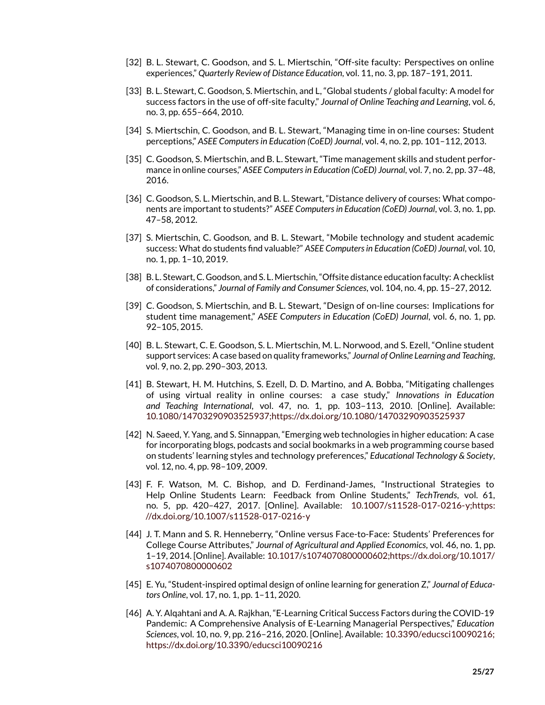- [32] B. L. Stewart, C. Goodson, and S. L. Miertschin, "Off-site faculty: Perspectives on online experiences," *Quarterly Review of Distance Education*, vol. 11, no. 3, pp. 187–191, 2011.
- [33] B. L. Stewart, C. Goodson, S. Miertschin, and L, "Global students / global faculty: A model for success factors in the use of off-site faculty," *Journal of Online Teaching and Learning*, vol. 6, no. 3, pp. 655–664, 2010.
- [34] S. Miertschin, C. Goodson, and B. L. Stewart, "Managing time in on-line courses: Student perceptions," *ASEE Computers in Education (CoED) Journal*, vol. 4, no. 2, pp. 101–112, 2013.
- [35] C. Goodson, S. Miertschin, and B. L. Stewart, "Time management skills and student performance in online courses," *ASEE Computers in Education (CoED) Journal*, vol. 7, no. 2, pp. 37–48, 2016.
- [36] C. Goodson, S. L. Miertschin, and B. L. Stewart, "Distance delivery of courses: What components are important to students?" *ASEE Computers in Education (CoED) Journal*, vol. 3, no. 1, pp. 47–58, 2012.
- [37] S. Miertschin, C. Goodson, and B. L. Stewart, "Mobile technology and student academic success: What do students find valuable?" *ASEE Computers in Education (CoED) Journal*, vol. 10, no. 1, pp. 1–10, 2019.
- [38] B. L. Stewart, C. Goodson, and S. L. Miertschin, "Offsite distance education faculty: A checklist of considerations," *Journal of Family and Consumer Sciences*, vol. 104, no. 4, pp. 15–27, 2012.
- [39] C. Goodson, S. Miertschin, and B. L. Stewart, "Design of on-line courses: Implications for student time management," *ASEE Computers in Education (CoED) Journal*, vol. 6, no. 1, pp. 92–105, 2015.
- [40] B. L. Stewart, C. E. Goodson, S. L. Miertschin, M. L. Norwood, and S. Ezell, "Online student support services: A case based on quality frameworks," *Journal of Online Learning and Teaching*, vol. 9, no. 2, pp. 290–303, 2013.
- <span id="page-24-0"></span>[41] B. Stewart, H. M. Hutchins, S. Ezell, D. D. Martino, and A. Bobba, "Mitigating challenges of using virtual reality in online courses: a case study," *Innovations in Education and Teaching International*, vol. 47, no. 1, pp. 103–113, 2010. [Online]. Available: [10.1080/14703290903525937;https://dx.doi.org/10.1080/14703290903525937](10.1080/14703290903525937; https://dx.doi.org/10.1080/14703290903525937)
- <span id="page-24-1"></span>[42] N. Saeed, Y. Yang, and S. Sinnappan, "Emerging web technologies in higher education: A case for incorporating blogs, podcasts and social bookmarks in a web programming course based on students' learning styles and technology preferences," *Educational Technology & Society*, vol. 12, no. 4, pp. 98–109, 2009.
- <span id="page-24-2"></span>[43] F. F. Watson, M. C. Bishop, and D. Ferdinand-James, "Instructional Strategies to Help Online Students Learn: Feedback from Online Students," *TechTrends*, vol. 61, no. 5, pp. 420–427, 2017. [Online]. Available: [10.1007/s11528-017-0216-y;https:](10.1007/s11528-017-0216-y; https://dx.doi.org/10.1007/s11528-017-0216-y) [//dx.doi.org/10.1007/s11528-017-0216-y](10.1007/s11528-017-0216-y; https://dx.doi.org/10.1007/s11528-017-0216-y)
- <span id="page-24-3"></span>[44] J. T. Mann and S. R. Henneberry, "Online versus Face-to-Face: Students' Preferences for College Course Attributes," *Journal of Agricultural and Applied Economics*, vol. 46, no. 1, pp. 1–19, 2014. [Online]. Available: [10.1017/s1074070800000602;https://dx.doi.org/10.1017/](10.1017/s1074070800000602; https://dx.doi.org/10.1017/s1074070800000602) [s1074070800000602](10.1017/s1074070800000602; https://dx.doi.org/10.1017/s1074070800000602)
- <span id="page-24-4"></span>[45] E. Yu, "Student-inspired optimal design of online learning for generation Z," *Journal of Educators Online*, vol. 17, no. 1, pp. 1–11, 2020.
- <span id="page-24-5"></span>[46] A. Y. Alqahtani and A. A. Rajkhan, "E-Learning Critical Success Factors during the COVID-19 Pandemic: A Comprehensive Analysis of E-Learning Managerial Perspectives," *Education Sciences*, vol. 10, no. 9, pp. 216–216, 2020. [Online]. Available: [10.3390/educsci10090216;](10.3390/educsci10090216; https://dx.doi.org/10.3390/educsci10090216) [https://dx.doi.org/10.3390/educsci10090216](10.3390/educsci10090216; https://dx.doi.org/10.3390/educsci10090216)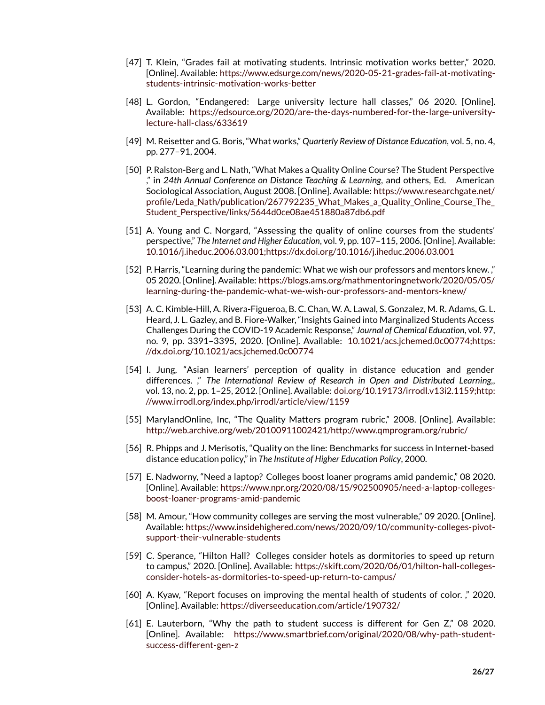- <span id="page-25-0"></span>[47] T. Klein, "Grades fail at motivating students. Intrinsic motivation works better," 2020. [Online]. Available: [https://www.edsurge.com/news/2020-05-21-grades-fail-at-motivating](https://www.edsurge.com/news/2020-05-21-grades-fail-at-motivating-students-intrinsic-motivation-works-better)[students-intrinsic-motivation-works-better](https://www.edsurge.com/news/2020-05-21-grades-fail-at-motivating-students-intrinsic-motivation-works-better)
- <span id="page-25-1"></span>[48] L. Gordon, "Endangered: Large university lecture hall classes," 06 2020. [Online]. Available: [https://edsource.org/2020/are-the-days-numbered-for-the-large-university](https://edsource.org/2020/are-the-days-numbered-for-the-large-university-lecture-hall-class/633619)[lecture-hall-class/633619](https://edsource.org/2020/are-the-days-numbered-for-the-large-university-lecture-hall-class/633619)
- <span id="page-25-2"></span>[49] M. Reisetter and G. Boris, "What works," *Quarterly Review of Distance Education*, vol. 5, no. 4, pp. 277–91, 2004.
- <span id="page-25-3"></span>[50] P. Ralston-Berg and L. Nath, "What Makes a Quality Online Course? The Student Perspective ," in *24th Annual Conference on Distance Teaching & Learning*, and others, Ed. American Sociological Association, August 2008. [Online]. Available: [https://www.researchgate.net/](https://www.researchgate.net/profile/Leda_Nath/publication/267792235_What_Makes_a_Quality_Online_Course_The_Student_Perspective/links/5644d0ce08ae451880a87db6.pdf) profile/Leda Nath/publication/267792235 What Makes a Quality Online Course The Student Perspective/links/5644d0ce08ae451880a87db6.pdf
- <span id="page-25-4"></span>[51] A. Young and C. Norgard, "Assessing the quality of online courses from the students' perspective," *The Internet and Higher Education*, vol. 9, pp. 107–115, 2006. [Online]. Available: [10.1016/j.iheduc.2006.03.001;https://dx.doi.org/10.1016/j.iheduc.2006.03.001](10.1016/j.iheduc.2006.03.001; https://dx.doi.org/10.1016/j.iheduc.2006.03.001)
- <span id="page-25-5"></span>[52] P. Harris, "Learning during the pandemic: What we wish our professors and mentors knew." 05 2020. [Online]. Available: [https://blogs.ams.org/mathmentoringnetwork/2020/05/05/](https://blogs.ams.org/mathmentoringnetwork/2020/05/05/learning-during-the-pandemic-what-we-wish-our-professors-and-mentors-knew/) [learning-during-the-pandemic-what-we-wish-our-professors-and-mentors-knew/](https://blogs.ams.org/mathmentoringnetwork/2020/05/05/learning-during-the-pandemic-what-we-wish-our-professors-and-mentors-knew/)
- <span id="page-25-6"></span>[53] A. C. Kimble-Hill, A. Rivera-Figueroa, B. C. Chan, W. A. Lawal, S. Gonzalez, M. R. Adams, G. L. Heard, J. L. Gazley, and B. Fiore-Walker, "Insights Gained into Marginalized Students Access Challenges During the COVID-19 Academic Response," *Journal of Chemical Education*, vol. 97, no. 9, pp. 3391–3395, 2020. [Online]. Available: [10.1021/acs.jchemed.0c00774;https:](10.1021/acs.jchemed.0c00774; https://dx.doi.org/10.1021/acs.jchemed.0c00774) [//dx.doi.org/10.1021/acs.jchemed.0c00774](10.1021/acs.jchemed.0c00774; https://dx.doi.org/10.1021/acs.jchemed.0c00774)
- <span id="page-25-7"></span>[54] I. Jung, "Asian learners' perception of quality in distance education and gender differences. ," *The International Review of Research in Open and Distributed Learning,*, vol. 13, no. 2, pp. 1–25, 2012. [Online]. Available: [doi.org/10.19173/irrodl.v13i2.1159;http:](doi.org/10.19173/irrodl.v13i2.1159; http://www.irrodl.org/index.php/irrodl/article/view/1159) [//www.irrodl.org/index.php/irrodl/article/view/1159](doi.org/10.19173/irrodl.v13i2.1159; http://www.irrodl.org/index.php/irrodl/article/view/1159)
- <span id="page-25-8"></span>[55] MarylandOnline, Inc, "The Quality Matters program rubric," 2008. [Online]. Available: <http://web.archive.org/web/20100911002421/http://www.qmprogram.org/rubric/>
- <span id="page-25-9"></span>[56] R. Phipps and J. Merisotis, "Quality on the line: Benchmarks for success in Internet-based distance education policy," in *The Institute of Higher Education Policy*, 2000.
- <span id="page-25-10"></span>[57] E. Nadworny, "Need a laptop? Colleges boost loaner programs amid pandemic," 08 2020. [Online]. Available: [https://www.npr.org/2020/08/15/902500905/need-a-laptop-colleges](https://www.npr.org/2020/08/15/902500905/need-a-laptop-colleges-boost-loaner-programs-amid-pandemic)[boost-loaner-programs-amid-pandemic](https://www.npr.org/2020/08/15/902500905/need-a-laptop-colleges-boost-loaner-programs-amid-pandemic)
- <span id="page-25-11"></span>[58] M. Amour, "How community colleges are serving the most vulnerable," 09 2020. [Online]. Available: [https://www.insidehighered.com/news/2020/09/10/community-colleges-pivot](https://www.insidehighered.com/news/2020/09/10/community-colleges-pivot-support-their-vulnerable-students)[support-their-vulnerable-students](https://www.insidehighered.com/news/2020/09/10/community-colleges-pivot-support-their-vulnerable-students)
- <span id="page-25-12"></span>[59] C. Sperance, "Hilton Hall? Colleges consider hotels as dormitories to speed up return to campus," 2020. [Online]. Available: [https://skift.com/2020/06/01/hilton-hall-colleges](https://skift.com/2020/06/01/hilton-hall-colleges-consider-hotels-as-dormitories-to-speed-up-return-to-campus/)[consider-hotels-as-dormitories-to-speed-up-return-to-campus/](https://skift.com/2020/06/01/hilton-hall-colleges-consider-hotels-as-dormitories-to-speed-up-return-to-campus/)
- <span id="page-25-13"></span>[60] A. Kyaw, "Report focuses on improving the mental health of students of color. ," 2020. [Online]. Available: <https://diverseeducation.com/article/190732/>
- <span id="page-25-14"></span>[61] E. Lauterborn, "Why the path to student success is different for Gen Z," 08 2020. [Online]. Available: [https://www.smartbrief.com/original/2020/08/why-path-student](https://www.smartbrief.com/original/2020/08/why-path-student-success-different-gen-z)[success-different-gen-z](https://www.smartbrief.com/original/2020/08/why-path-student-success-different-gen-z)